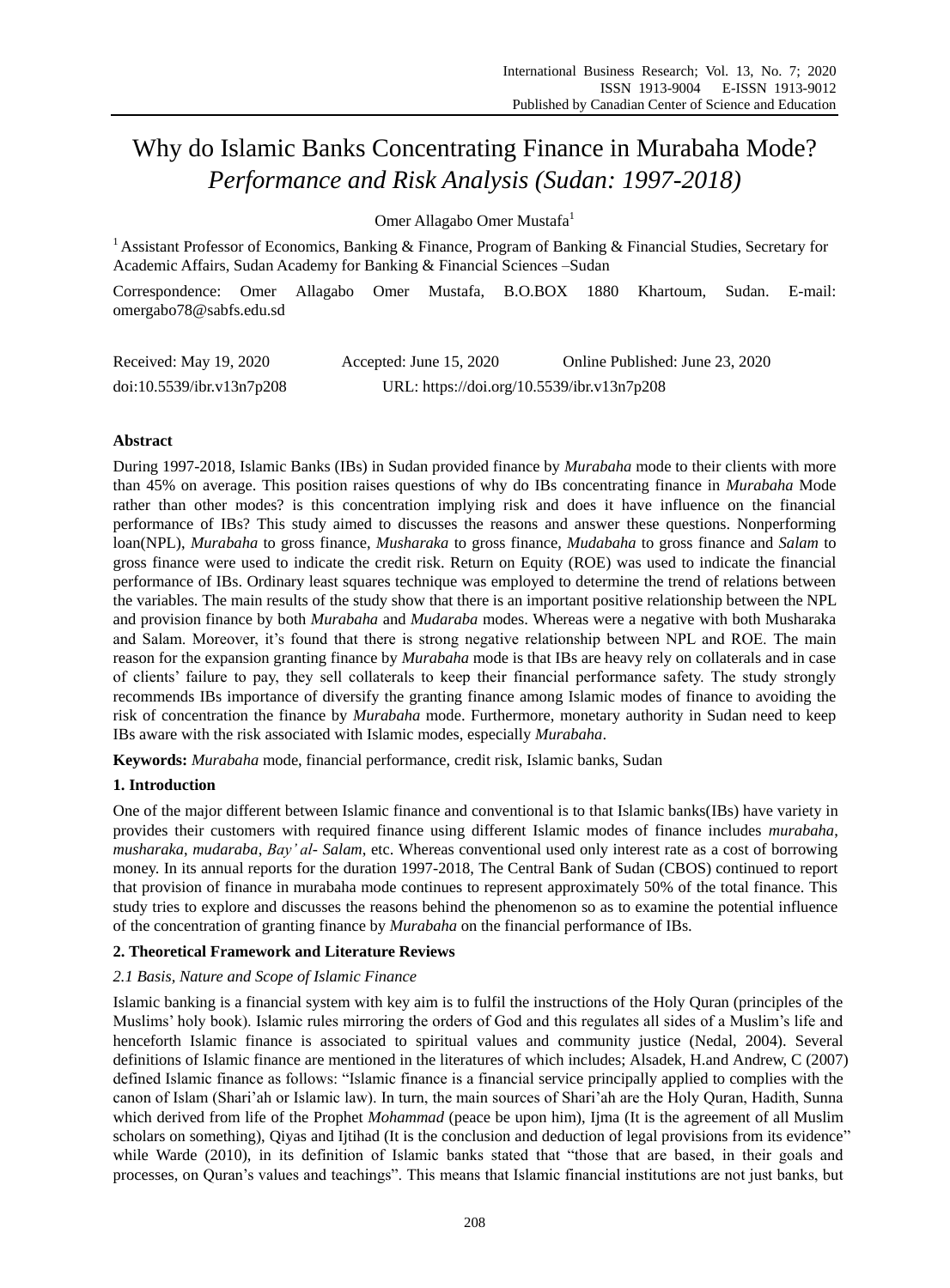# Why do Islamic Banks Concentrating Finance in Murabaha Mode? *Performance and Risk Analysis (Sudan: 1997-2018)*

Omer Allagabo Omer Mustafa<sup>1</sup>

<sup>1</sup> Assistant Professor of Economics, Banking & Finance, Program of Banking & Financial Studies, Secretary for Academic Affairs, Sudan Academy for Banking & Financial Sciences –Sudan

Correspondence: Omer Allagabo Omer Mustafa, B.O.BOX 1880 Khartoum, Sudan. E-mail: omergabo78@sabfs.edu.sd

| Received: May 19, 2020    | Accepted: June $15, 2020$                  | Online Published: June 23, 2020 |
|---------------------------|--------------------------------------------|---------------------------------|
| doi:10.5539/ibr.v13n7p208 | URL: https://doi.org/10.5539/ibr.v13n7p208 |                                 |

# **Abstract**

During 1997-2018, Islamic Banks (IBs) in Sudan provided finance by *Murabaha* mode to their clients with more than 45% on average. This position raises questions of why do IBs concentrating finance in *Murabaha* Mode rather than other modes? is this concentration implying risk and does it have influence on the financial performance of IBs? This study aimed to discusses the reasons and answer these questions. Nonperforming loan(NPL), *Murabaha* to gross finance, *Musharaka* to gross finance, *Mudabaha* to gross finance and *Salam* to gross finance were used to indicate the credit risk. Return on Equity (ROE) was used to indicate the financial performance of IBs. Ordinary least squares technique was employed to determine the trend of relations between the variables. The main results of the study show that there is an important positive relationship between the NPL and provision finance by both *Murabaha* and *Mudaraba* modes. Whereas were a negative with both Musharaka and Salam. Moreover, it's found that there is strong negative relationship between NPL and ROE. The main reason for the expansion granting finance by *Murabaha* mode is that IBs are heavy rely on collaterals and in case of clients' failure to pay, they sell collaterals to keep their financial performance safety. The study strongly recommends IBs importance of diversify the granting finance among Islamic modes of finance to avoiding the risk of concentration the finance by *Murabaha* mode. Furthermore, monetary authority in Sudan need to keep IBs aware with the risk associated with Islamic modes, especially *Murabaha*.

**Keywords:** *Murabaha* mode, financial performance, credit risk, Islamic banks, Sudan

# **1. Introduction**

One of the major different between Islamic finance and conventional is to that Islamic banks(IBs) have variety in provides their customers with required finance using different Islamic modes of finance includes *murabaha*, *musharaka*, *mudaraba*, *Bay' al- Salam*, etc. Whereas conventional used only interest rate as a cost of borrowing money. In its annual reports for the duration 1997-2018, The Central Bank of Sudan (CBOS) continued to report that provision of finance in murabaha mode continues to represent approximately 50% of the total finance. This study tries to explore and discusses the reasons behind the phenomenon so as to examine the potential influence of the concentration of granting finance by *Murabaha* on the financial performance of IBs.

# **2. Theoretical Framework and Literature Reviews**

## *2.1 Basis, Nature and Scope of Islamic Finance*

Islamic banking is a financial system with key aim is to fulfil the instructions of the Holy Quran (principles of the Muslims' holy book). Islamic rules mirroring the orders of God and this regulates all sides of a Muslim's life and henceforth Islamic finance is associated to spiritual values and community justice (Nedal, 2004). Several definitions of Islamic finance are mentioned in the literatures of which includes; Alsadek, H.and Andrew, C (2007) defined Islamic finance as follows: "Islamic finance is a financial service principally applied to complies with the canon of Islam (Shari'ah or Islamic law). In turn, the main sources of Shari'ah are the Holy Quran, Hadith, Sunna which derived from life of the Prophet *Mohammad* (peace be upon him), Ijma (It is the agreement of all Muslim scholars on something), Qiyas and Ijtihad (It is the conclusion and deduction of legal provisions from its evidence" while Warde (2010), in its definition of Islamic banks stated that "those that are based, in their goals and processes, on Quran's values and teachings". This means that Islamic financial institutions are not just banks, but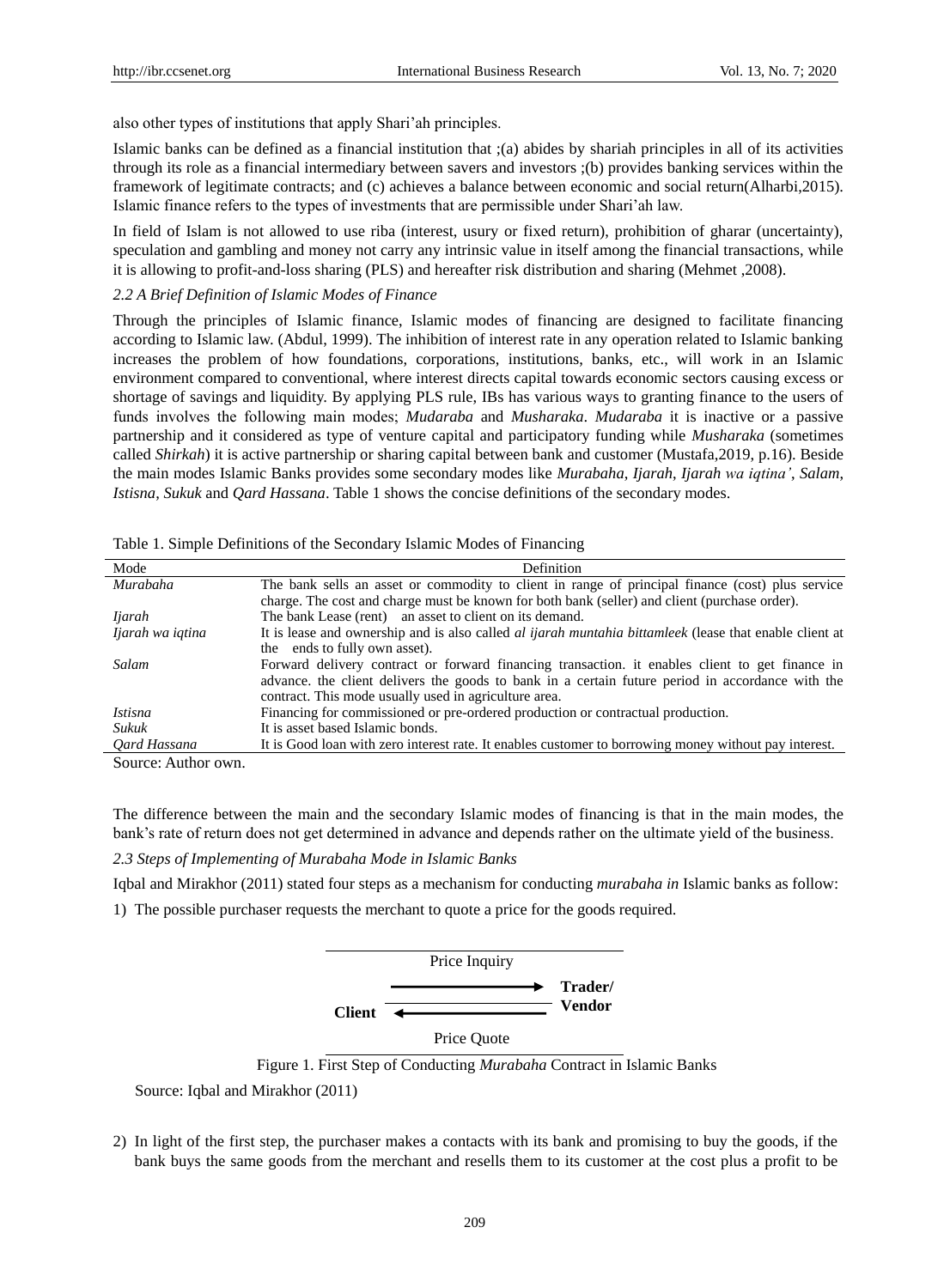also other types of institutions that apply Shari'ah principles.

Islamic banks can be defined as a financial institution that ;(a) abides by shariah principles in all of its activities through its role as a financial intermediary between savers and investors ;(b) provides banking services within the framework of legitimate contracts; and (c) achieves a balance between economic and social return(Alharbi,2015). Islamic finance refers to the types of investments that are permissible under Shari'ah law.

In field of Islam is not allowed to use riba (interest, usury or fixed return), prohibition of gharar (uncertainty), speculation and gambling and money not carry any intrinsic value in itself among the financial transactions, while it is allowing to profit-and-loss sharing (PLS) and hereafter risk distribution and sharing (Mehmet ,2008).

#### *2.2 A Brief Definition of Islamic Modes of Finance*

Through the principles of Islamic finance, Islamic modes of financing are designed to facilitate financing according to Islamic law. (Abdul, 1999). The inhibition of interest rate in any operation related to Islamic banking increases the problem of how foundations, corporations, institutions, banks, etc., will work in an Islamic environment compared to conventional, where interest directs capital towards economic sectors causing excess or shortage of savings and liquidity. By applying PLS rule, IBs has various ways to granting finance to the users of funds involves the following main modes; *Mudaraba* and *Musharaka*. *Mudaraba* it is inactive or a passive partnership and it considered as type of venture capital and participatory funding while *Musharaka* (sometimes called *Shirkah*) it is active partnership or sharing capital between bank and customer (Mustafa,2019, p.16). Beside the main modes Islamic Banks provides some secondary modes like *Murabaha*, *Ijarah*, *Ijarah wa iqtina'*, *Salam*, *Istisna*, *Sukuk* and *Qard Hassana*. Table 1 shows the concise definitions of the secondary modes.

| Mode                   | Definition                                                                                                     |
|------------------------|----------------------------------------------------------------------------------------------------------------|
| Murabaha               | The bank sells an asset or commodity to client in range of principal finance (cost) plus service               |
|                        | charge. The cost and charge must be known for both bank (seller) and client (purchase order).                  |
| <i>Ijarah</i>          | The bank Lease (rent) an asset to client on its demand.                                                        |
| Ijarah wa iqtina       | It is lease and ownership and is also called <i>al ijarah muntahia bittamleek</i> (lease that enable client at |
|                        | the ends to fully own asset).                                                                                  |
| Salam                  | Forward delivery contract or forward financing transaction. it enables client to get finance in                |
|                        | advance, the client delivers the goods to bank in a certain future period in accordance with the               |
|                        | contract. This mode usually used in agriculture area.                                                          |
| <i>Istisna</i>         | Financing for commissioned or pre-ordered production or contractual production.                                |
| Sukuk                  | It is asset based Islamic bonds.                                                                               |
| Oard Hassana           | It is Good loan with zero interest rate. It enables customer to borrowing money without pay interest.          |
| $\Omega$ $\Lambda$ 41. |                                                                                                                |

Table 1. Simple Definitions of the Secondary Islamic Modes of Financing

Source: Author own.

The difference between the main and the secondary Islamic modes of financing is that in the main modes, the bank's rate of return does not get determined in advance and depends rather on the ultimate yield of the business.

*2.3 Steps of Implementing of Murabaha Mode in Islamic Banks*

Iqbal and Mirakhor (2011) stated four steps as a mechanism for conducting *murabaha in* Islamic banks as follow:





Price Quote

Figure 1. First Step of Conducting *Murabaha* Contract in Islamic Banks

Source: Iqbal and Mirakhor (2011)

2) In light of the first step, the purchaser makes a contacts with its bank and promising to buy the goods, if the bank buys the same goods from the merchant and resells them to its customer at the cost plus a profit to be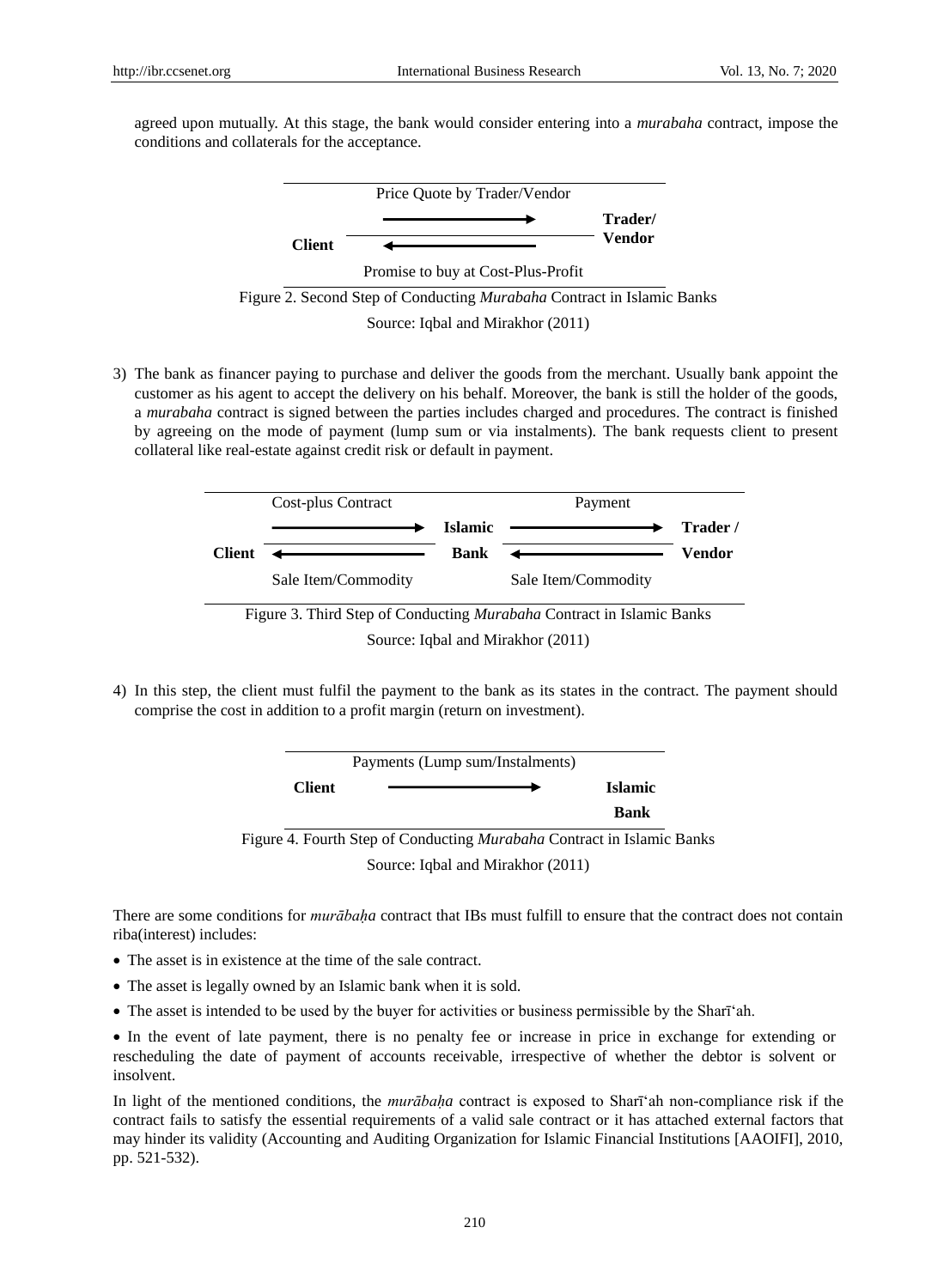agreed upon mutually. At this stage, the bank would consider entering into a *murabaha* contract, impose the conditions and collaterals for the acceptance.



3) The bank as financer paying to purchase and deliver the goods from the merchant. Usually bank appoint the customer as his agent to accept the delivery on his behalf. Moreover, the bank is still the holder of the goods, a *murabaha* contract is signed between the parties includes charged and procedures. The contract is finished by agreeing on the mode of payment (lump sum or via instalments). The bank requests client to present collateral like real-estate against credit risk or default in payment.



4) In this step, the client must fulfil the payment to the bank as its states in the contract. The payment should comprise the cost in addition to a profit margin (return on investment).



There are some conditions for *murābaḥa* contract that IBs must fulfill to ensure that the contract does not contain riba(interest) includes:

- The asset is in existence at the time of the sale contract.
- The asset is legally owned by an Islamic bank when it is sold.
- The asset is intended to be used by the buyer for activities or business permissible by the Shari <sup>ah</sup>.

 In the event of late payment, there is no penalty fee or increase in price in exchange for extending or rescheduling the date of payment of accounts receivable, irrespective of whether the debtor is solvent or insolvent.

In light of the mentioned conditions, the *murābaha* contract is exposed to Shari ah non-compliance risk if the contract fails to satisfy the essential requirements of a valid sale contract or it has attached external factors that may hinder its validity (Accounting and Auditing Organization for Islamic Financial Institutions [AAOIFI], 2010, pp. 521-532).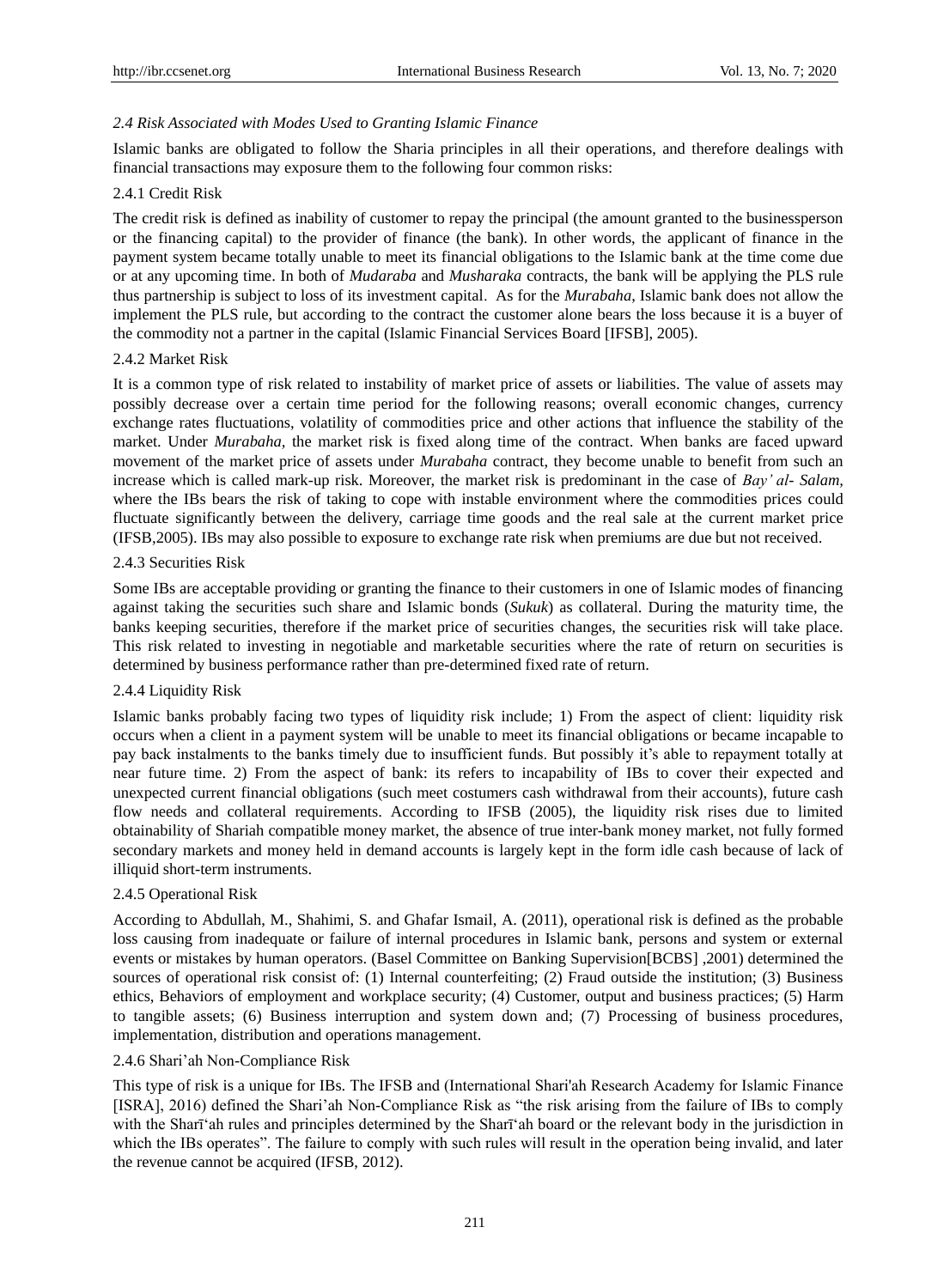# *2.4 Risk Associated with Modes Used to Granting Islamic Finance*

Islamic banks are obligated to follow the Sharia principles in all their operations, and therefore dealings with financial transactions may exposure them to the following four common risks:

## 2.4.1 Credit Risk

The credit risk is defined as inability of customer to repay the principal (the amount granted to the businessperson or the financing capital) to the provider of finance (the bank). In other words, the applicant of finance in the payment system became totally unable to meet its financial obligations to the Islamic bank at the time come due or at any upcoming time. In both of *Mudaraba* and *Musharaka* contracts, the bank will be applying the PLS rule thus partnership is subject to loss of its investment capital. As for the *Murabaha*, Islamic bank does not allow the implement the PLS rule, but according to the contract the customer alone bears the loss because it is a buyer of the commodity not a partner in the capital (Islamic Financial Services Board [IFSB], 2005).

## 2.4.2 Market Risk

It is a common type of risk related to instability of market price of assets or liabilities. The value of assets may possibly decrease over a certain time period for the following reasons; overall economic changes, currency exchange rates fluctuations, volatility of commodities price and other actions that influence the stability of the market. Under *Murabaha,* the market risk is fixed along time of the contract. When banks are faced upward movement of the market price of assets under *Murabaha* contract, they become unable to benefit from such an increase which is called mark-up risk. Moreover, the market risk is predominant in the case of *Bay' al- Salam,*  where the IBs bears the risk of taking to cope with instable environment where the commodities prices could fluctuate significantly between the delivery, carriage time goods and the real sale at the current market price (IFSB,2005). IBs may also possible to exposure to exchange rate risk when premiums are due but not received.

## 2.4.3 Securities Risk

Some IBs are acceptable providing or granting the finance to their customers in one of Islamic modes of financing against taking the securities such share and Islamic bonds (*Sukuk*) as collateral. During the maturity time, the banks keeping securities, therefore if the market price of securities changes, the securities risk will take place. This risk related to investing in negotiable and marketable securities where the rate of return on securities is determined by business performance rather than pre-determined fixed rate of return.

## 2.4.4 Liquidity Risk

Islamic banks probably facing two types of liquidity risk include; 1) From the aspect of client: liquidity risk occurs when a client in a payment system will be unable to meet its financial obligations or became incapable to pay back instalments to the banks timely due to insufficient funds. But possibly it's able to repayment totally at near future time. 2) From the aspect of bank: its refers to incapability of IBs to cover their expected and unexpected current financial obligations (such meet costumers cash withdrawal from their accounts), future cash flow needs and collateral requirements. According to IFSB (2005), the liquidity risk rises due to limited obtainability of Shariah compatible money market, the absence of true inter-bank money market, not fully formed secondary markets and money held in demand accounts is largely kept in the form idle cash because of lack of illiquid short-term instruments.

## 2.4.5 Operational Risk

According to Abdullah, M., Shahimi, S. and Ghafar Ismail, A. (2011), operational risk is defined as the probable loss causing from inadequate or failure of internal procedures in Islamic bank, persons and system or external events or mistakes by human operators. (Basel Committee on Banking Supervision[BCBS] ,2001) determined the sources of operational risk consist of: (1) Internal counterfeiting; (2) Fraud outside the institution; (3) Business ethics, Behaviors of employment and workplace security; (4) Customer, output and business practices; (5) Harm to tangible assets; (6) Business interruption and system down and; (7) Processing of business procedures, implementation, distribution and operations management.

## 2.4.6 Shari'ah Non-Compliance Risk

This type of risk is a unique for IBs. The IFSB and (International Shari'ah Research Academy for Islamic Finance [ISRA], 2016) defined the Shari'ah Non-Compliance Risk as "the risk arising from the failure of IBs to comply with the Shari ah rules and principles determined by the Shari ah board or the relevant body in the jurisdiction in which the IBs operates". The failure to comply with such rules will result in the operation being invalid, and later the revenue cannot be acquired (IFSB, 2012).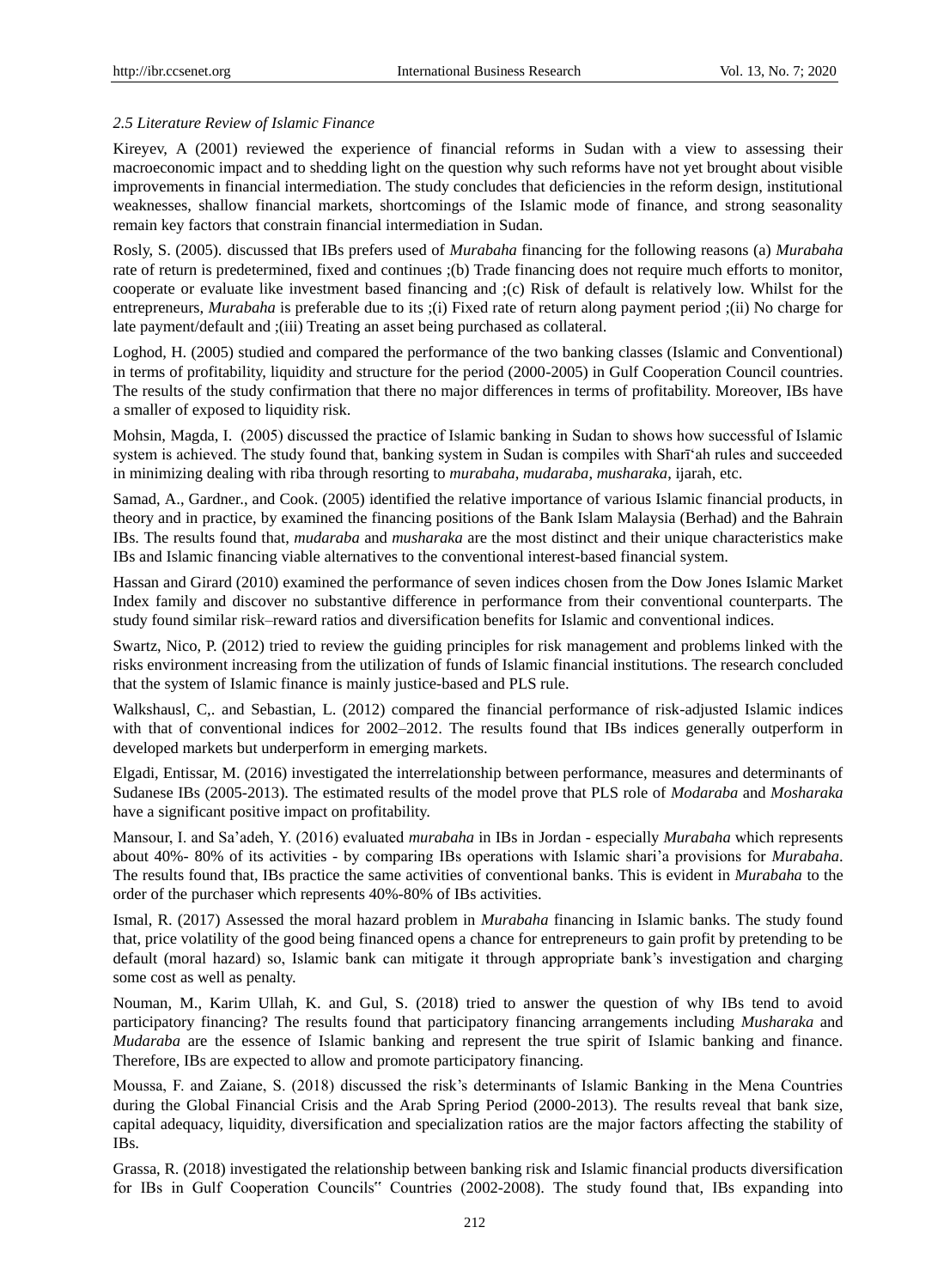#### *2.5 Literature Review of Islamic Finance*

Kireyev, A (2001) reviewed the experience of financial reforms in Sudan with a view to assessing their macroeconomic impact and to shedding light on the question why such reforms have not yet brought about visible improvements in financial intermediation. The study concludes that deficiencies in the reform design, institutional weaknesses, shallow financial markets, shortcomings of the Islamic mode of finance, and strong seasonality remain key factors that constrain financial intermediation in Sudan.

Rosly, S. (2005). discussed that IBs prefers used of *Murabaha* financing for the following reasons (a) *Murabaha* rate of return is predetermined, fixed and continues ;(b) Trade financing does not require much efforts to monitor, cooperate or evaluate like investment based financing and ;(c) Risk of default is relatively low. Whilst for the entrepreneurs, *Murabaha* is preferable due to its ;(i) Fixed rate of return along payment period ;(ii) No charge for late payment/default and ;(iii) Treating an asset being purchased as collateral.

Loghod, H. (2005) studied and compared the performance of the two banking classes (Islamic and Conventional) in terms of profitability, liquidity and structure for the period (2000-2005) in Gulf Cooperation Council countries. The results of the study confirmation that there no major differences in terms of profitability. Moreover, IBs have a smaller of exposed to liquidity risk.

Mohsin, Magda, I. (2005) discussed the practice of Islamic banking in Sudan to shows how successful of Islamic system is achieved. The study found that, banking system in Sudan is compiles with Shari'ah rules and succeeded in minimizing dealing with riba through resorting to *murabaha*, *mudaraba*, *musharaka*, ijarah, etc.

Samad, A., Gardner., and Cook. (2005) identified the relative importance of various Islamic financial products, in theory and in practice, by examined the financing positions of the Bank Islam Malaysia (Berhad) and the Bahrain IBs. The results found that, *mudaraba* and *musharaka* are the most distinct and their unique characteristics make IBs and Islamic financing viable alternatives to the conventional interest-based financial system.

Hassan and Girard (2010) examined the performance of seven indices chosen from the Dow Jones Islamic Market Index family and discover no substantive difference in performance from their conventional counterparts. The study found similar risk–reward ratios and diversification benefits for Islamic and conventional indices.

Swartz, Nico, P. (2012) tried to review the guiding principles for risk management and problems linked with the risks environment increasing from the utilization of funds of Islamic financial institutions. The research concluded that the system of Islamic finance is mainly justice-based and PLS rule.

Walkshausl, C,. and Sebastian, L. (2012) compared the financial performance of risk-adjusted Islamic indices with that of conventional indices for 2002–2012. The results found that IBs indices generally outperform in developed markets but underperform in emerging markets.

Elgadi, Entissar, M. (2016) investigated the interrelationship between performance, measures and determinants of Sudanese IBs (2005-2013). The estimated results of the model prove that PLS role of *Modaraba* and *Mosharaka* have a significant positive impact on profitability.

Mansour, I. and Sa'adeh, Y. (2016) evaluated *murabaha* in IBs in Jordan - especially *Murabaha* which represents about 40%- 80% of its activities - by comparing IBs operations with Islamic shari'a provisions for *Murabaha*. The results found that, IBs practice the same activities of conventional banks. This is evident in *Murabaha* to the order of the purchaser which represents 40%-80% of IBs activities.

Ismal, R. (2017) Assessed the moral hazard problem in *Murabaha* financing in Islamic banks. The study found that, price volatility of the good being financed opens a chance for entrepreneurs to gain profit by pretending to be default (moral hazard) so, Islamic bank can mitigate it through appropriate bank's investigation and charging some cost as well as penalty.

Nouman, M., Karim Ullah, K. and Gul, S. (2018) tried to answer the question of why IBs tend to avoid participatory financing? The results found that participatory financing arrangements including *Musharaka* and *Mudaraba* are the essence of Islamic banking and represent the true spirit of Islamic banking and finance. Therefore, IBs are expected to allow and promote participatory financing.

Moussa, F. and Zaiane, S. (2018) discussed the risk's determinants of Islamic Banking in the Mena Countries during the Global Financial Crisis and the Arab Spring Period (2000-2013). The results reveal that bank size, capital adequacy, liquidity, diversification and specialization ratios are the major factors affecting the stability of IBs.

Grassa, R. (2018) investigated the relationship between banking risk and Islamic financial products diversification for IBs in Gulf Cooperation Councils" Countries (2002-2008). The study found that, IBs expanding into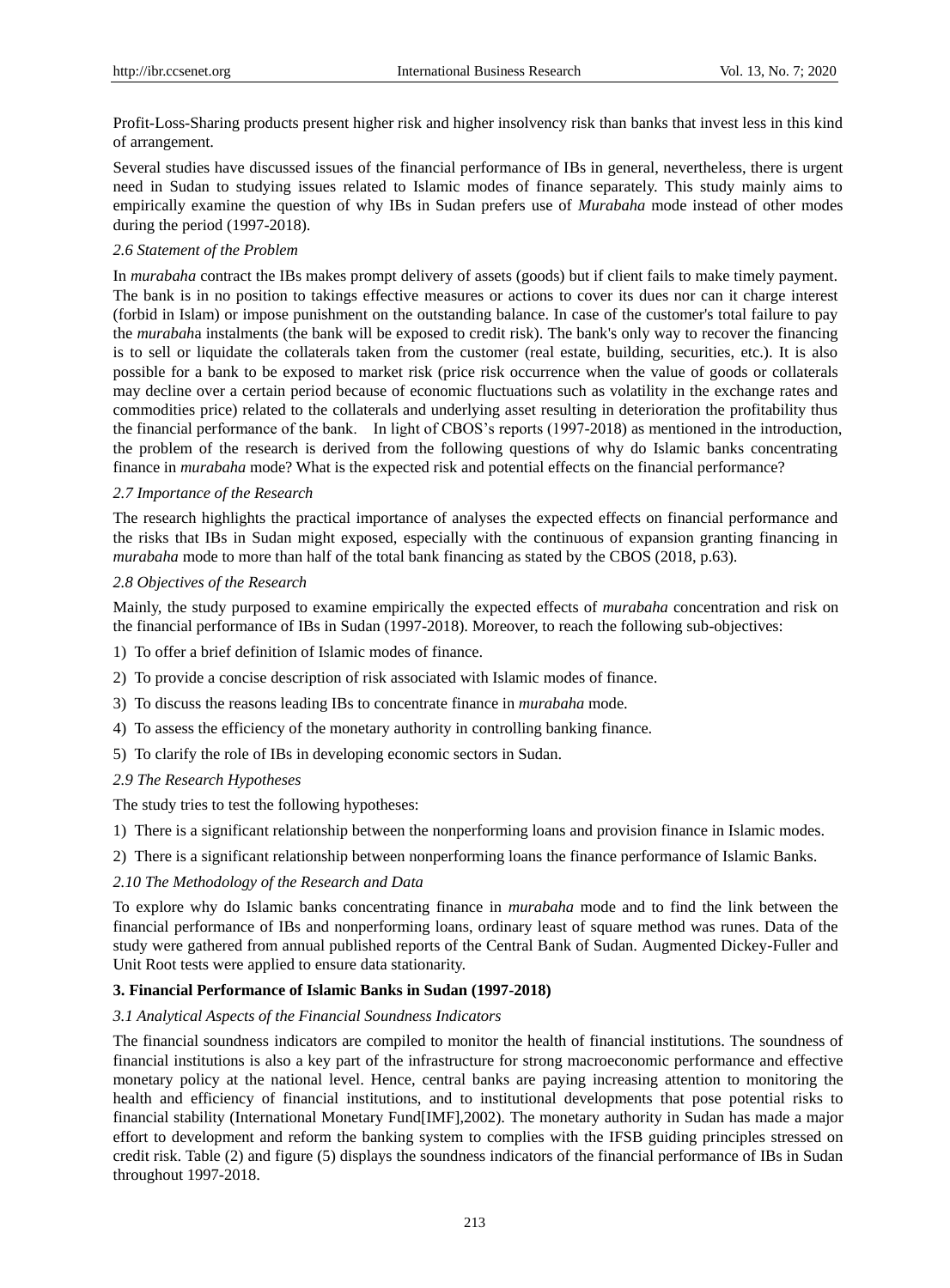Profit-Loss-Sharing products present higher risk and higher insolvency risk than banks that invest less in this kind of arrangement.

Several studies have discussed issues of the financial performance of IBs in general, nevertheless, there is urgent need in Sudan to studying issues related to Islamic modes of finance separately. This study mainly aims to empirically examine the question of why IBs in Sudan prefers use of *Murabaha* mode instead of other modes during the period (1997-2018).

## *2.6 Statement of the Problem*

In *murabaha* contract the IBs makes prompt delivery of assets (goods) but if client fails to make timely payment. The bank is in no position to takings effective measures or actions to cover its dues nor can it charge interest (forbid in Islam) or impose punishment on the outstanding balance. In case of the customer's total failure to pay the *murabah*a instalments (the bank will be exposed to credit risk). The bank's only way to recover the financing is to sell or liquidate the collaterals taken from the customer (real estate, building, securities, etc.). It is also possible for a bank to be exposed to market risk (price risk occurrence when the value of goods or collaterals may decline over a certain period because of economic fluctuations such as volatility in the exchange rates and commodities price) related to the collaterals and underlying asset resulting in deterioration the profitability thus the financial performance of the bank. In light of CBOS's reports (1997-2018) as mentioned in the introduction, the problem of the research is derived from the following questions of why do Islamic banks concentrating finance in *murabaha* mode? What is the expected risk and potential effects on the financial performance?

## *2.7 Importance of the Research*

The research highlights the practical importance of analyses the expected effects on financial performance and the risks that IBs in Sudan might exposed, especially with the continuous of expansion granting financing in *murabaha* mode to more than half of the total bank financing as stated by the CBOS (2018, p.63).

## *2.8 Objectives of the Research*

Mainly, the study purposed to examine empirically the expected effects of *murabaha* concentration and risk on the financial performance of IBs in Sudan (1997-2018). Moreover, to reach the following sub-objectives:

- 1) To offer a brief definition of Islamic modes of finance.
- 2) To provide a concise description of risk associated with Islamic modes of finance.
- 3) To discuss the reasons leading IBs to concentrate finance in *murabaha* mode.
- 4) To assess the efficiency of the monetary authority in controlling banking finance.
- 5) To clarify the role of IBs in developing economic sectors in Sudan.

### *2.9 The Research Hypotheses*

The study tries to test the following hypotheses:

- 1) There is a significant relationship between the nonperforming loans and provision finance in Islamic modes.
- 2) There is a significant relationship between nonperforming loans the finance performance of Islamic Banks.

## *2.10 The Methodology of the Research and Data*

To explore why do Islamic banks concentrating finance in *murabaha* mode and to find the link between the financial performance of IBs and nonperforming loans, ordinary least of square method was runes. Data of the study were gathered from annual published reports of the Central Bank of Sudan. Augmented Dickey-Fuller and Unit Root tests were applied to ensure data stationarity.

#### **3. Financial Performance of Islamic Banks in Sudan (1997-2018)**

#### *3.1 Analytical Aspects of the Financial Soundness Indicators*

The financial soundness indicators are compiled to monitor the health of financial institutions. The soundness of financial institutions is also a key part of the infrastructure for strong macroeconomic performance and effective monetary policy at the national level. Hence, central banks are paying increasing attention to monitoring the health and efficiency of financial institutions, and to institutional developments that pose potential risks to financial stability (International Monetary Fund[IMF],2002). The monetary authority in Sudan has made a major effort to development and reform the banking system to complies with the IFSB guiding principles stressed on credit risk. Table (2) and figure (5) displays the soundness indicators of the financial performance of IBs in Sudan throughout 1997-2018.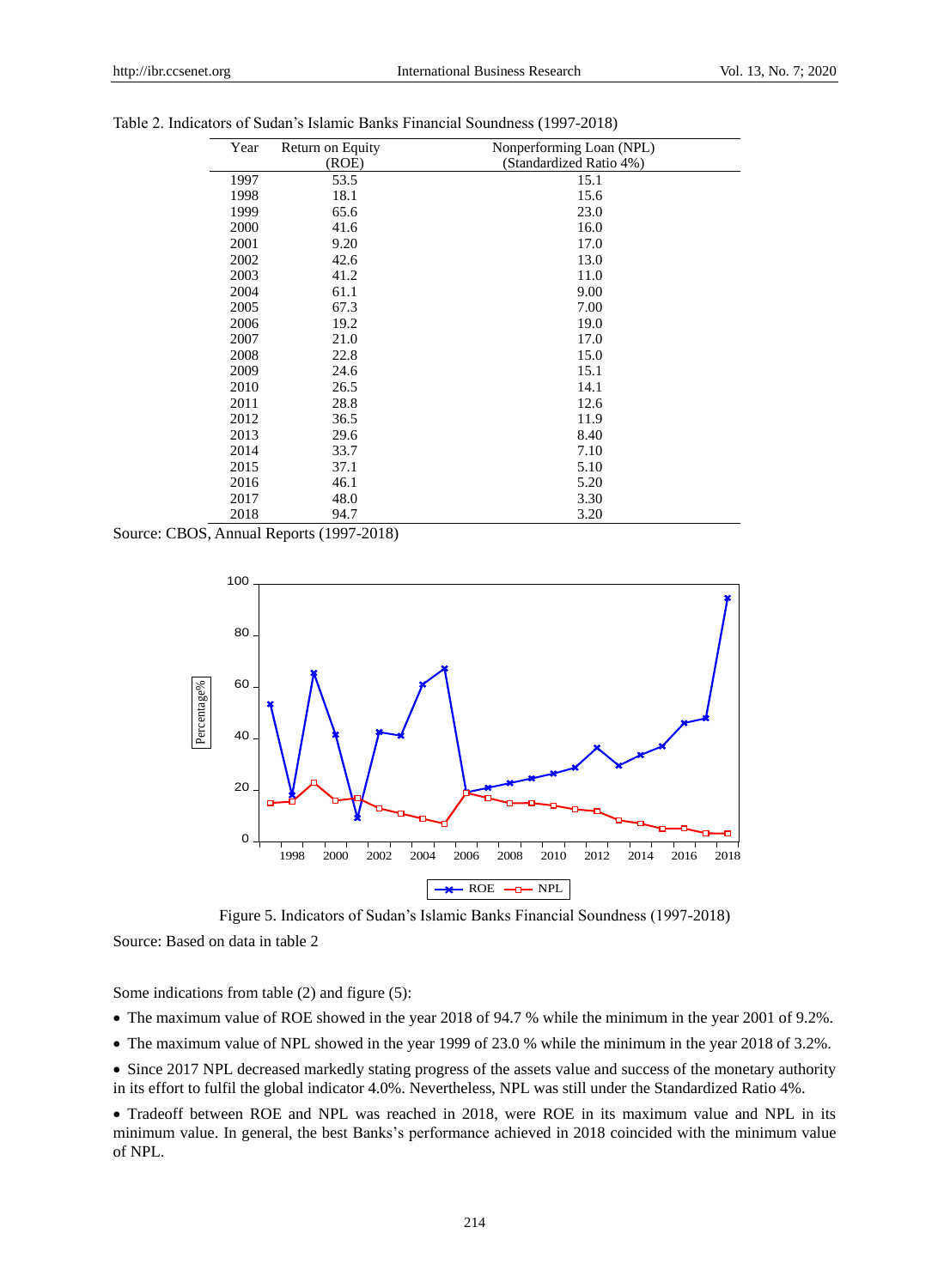| Year | Return on Equity | Nonperforming Loan (NPL) |
|------|------------------|--------------------------|
|      | (ROE)            | (Standardized Ratio 4%)  |
| 1997 | 53.5             | 15.1                     |
| 1998 | 18.1             | 15.6                     |
| 1999 | 65.6             | 23.0                     |
| 2000 | 41.6             | 16.0                     |
| 2001 | 9.20             | 17.0                     |
| 2002 | 42.6             | 13.0                     |
| 2003 | 41.2             | 11.0                     |
| 2004 | 61.1             | 9.00                     |
| 2005 | 67.3             | 7.00                     |
| 2006 | 19.2             | 19.0                     |
| 2007 | 21.0             | 17.0                     |
| 2008 | 22.8             | 15.0                     |
| 2009 | 24.6             | 15.1                     |
| 2010 | 26.5             | 14.1                     |
| 2011 | 28.8             | 12.6                     |
| 2012 | 36.5             | 11.9                     |
| 2013 | 29.6             | 8.40                     |
| 2014 | 33.7             | 7.10                     |
| 2015 | 37.1             | 5.10                     |
| 2016 | 46.1             | 5.20                     |
| 2017 | 48.0             | 3.30                     |
| 2018 | 94.7             | 3.20                     |

Table 2. Indicators of Sudan's Islamic Banks Financial Soundness (1997-2018)

Source: CBOS, Annual Reports (1997-2018)



Figure 5. Indicators of Sudan's Islamic Banks Financial Soundness (1997-2018)

Source: Based on data in table 2

Some indications from table (2) and figure (5):

- The maximum value of ROE showed in the year 2018 of 94.7 % while the minimum in the year 2001 of 9.2%.
- The maximum value of NPL showed in the year 1999 of 23.0 % while the minimum in the year 2018 of 3.2%.
- Since 2017 NPL decreased markedly stating progress of the assets value and success of the monetary authority in its effort to fulfil the global indicator 4.0%. Nevertheless, NPL was still under the Standardized Ratio 4%.

 Tradeoff between ROE and NPL was reached in 2018, were ROE in its maximum value and NPL in its minimum value. In general, the best Banks's performance achieved in 2018 coincided with the minimum value of NPL.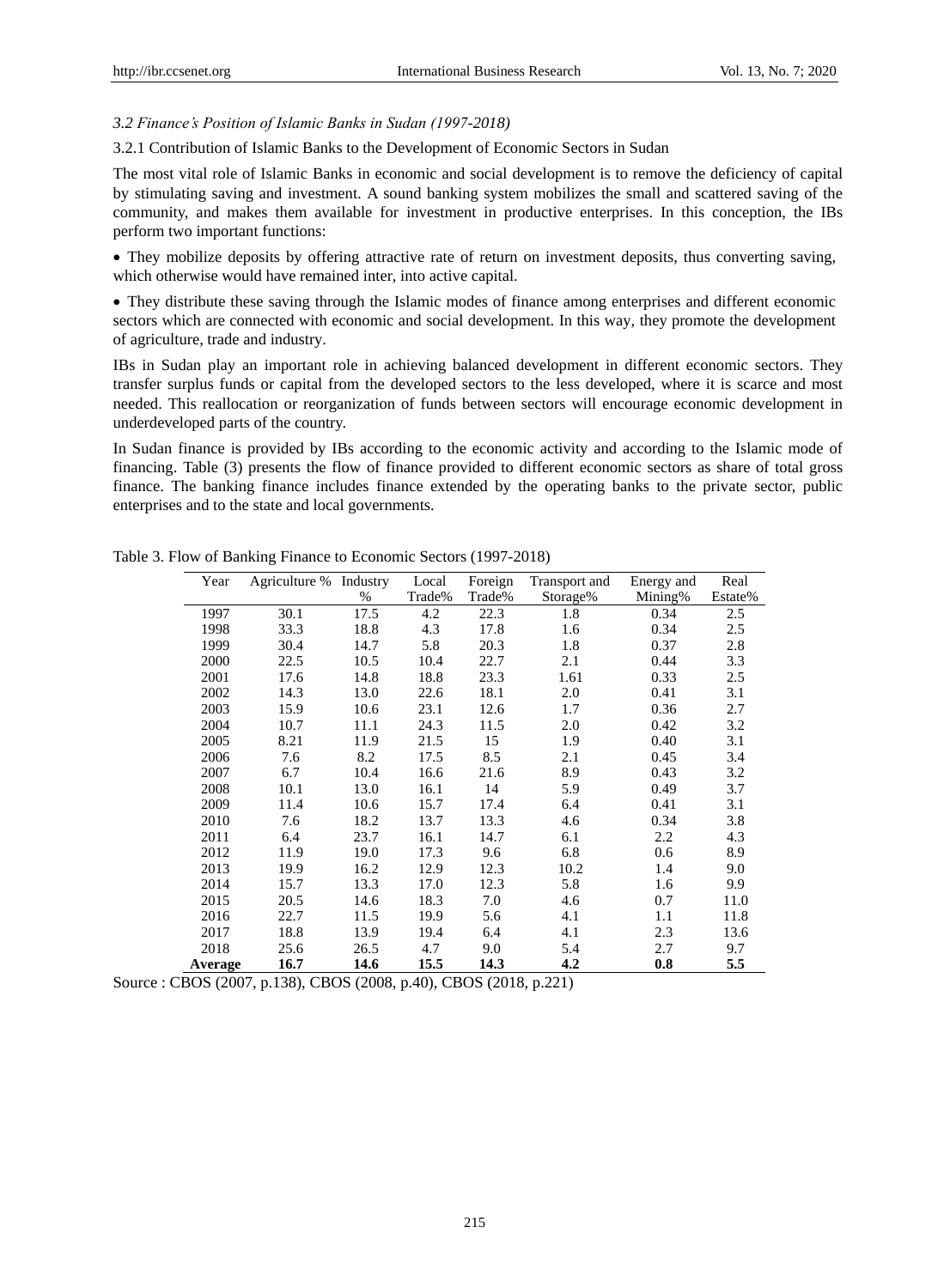#### *3.2 Finance's Position of Islamic Banks in Sudan (1997-2018)*

#### 3.2.1 Contribution of Islamic Banks to the Development of Economic Sectors in Sudan

The most vital role of Islamic Banks in economic and social development is to remove the deficiency of capital by stimulating saving and investment. A sound banking system mobilizes the small and scattered saving of the community, and makes them available for investment in productive enterprises. In this conception, the IBs perform two important functions:

 They mobilize deposits by offering attractive rate of return on investment deposits, thus converting saving, which otherwise would have remained inter, into active capital.

 They distribute these saving through the Islamic modes of finance among enterprises and different economic sectors which are connected with economic and social development. In this way, they promote the development of agriculture, trade and industry.

IBs in Sudan play an important role in achieving balanced development in different economic sectors. They transfer surplus funds or capital from the developed sectors to the less developed, where it is scarce and most needed. This reallocation or reorganization of funds between sectors will encourage economic development in underdeveloped parts of the country.

In Sudan finance is provided by IBs according to the economic activity and according to the Islamic mode of financing. Table (3) presents the flow of finance provided to different economic sectors as share of total gross finance. The banking finance includes finance extended by the operating banks to the private sector, public enterprises and to the state and local governments.

| Year    | Agriculture % Industry |      | Local  | Foreign | Transport and | Energy and | Real    |
|---------|------------------------|------|--------|---------|---------------|------------|---------|
|         |                        | $\%$ | Trade% | Trade%  | Storage%      | Mining%    | Estate% |
| 1997    | 30.1                   | 17.5 | 4.2    | 22.3    | 1.8           | 0.34       | 2.5     |
| 1998    | 33.3                   | 18.8 | 4.3    | 17.8    | 1.6           | 0.34       | 2.5     |
| 1999    | 30.4                   | 14.7 | 5.8    | 20.3    | 1.8           | 0.37       | 2.8     |
| 2000    | 22.5                   | 10.5 | 10.4   | 22.7    | 2.1           | 0.44       | 3.3     |
| 2001    | 17.6                   | 14.8 | 18.8   | 23.3    | 1.61          | 0.33       | 2.5     |
| 2002    | 14.3                   | 13.0 | 22.6   | 18.1    | 2.0           | 0.41       | 3.1     |
| 2003    | 15.9                   | 10.6 | 23.1   | 12.6    | 1.7           | 0.36       | 2.7     |
| 2004    | 10.7                   | 11.1 | 24.3   | 11.5    | 2.0           | 0.42       | 3.2     |
| 2005    | 8.21                   | 11.9 | 21.5   | 15      | 1.9           | 0.40       | 3.1     |
| 2006    | 7.6                    | 8.2  | 17.5   | 8.5     | 2.1           | 0.45       | 3.4     |
| 2007    | 6.7                    | 10.4 | 16.6   | 21.6    | 8.9           | 0.43       | 3.2     |
| 2008    | 10.1                   | 13.0 | 16.1   | 14      | 5.9           | 0.49       | 3.7     |
| 2009    | 11.4                   | 10.6 | 15.7   | 17.4    | 6.4           | 0.41       | 3.1     |
| 2010    | 7.6                    | 18.2 | 13.7   | 13.3    | 4.6           | 0.34       | 3.8     |
| 2011    | 6.4                    | 23.7 | 16.1   | 14.7    | 6.1           | 2.2        | 4.3     |
| 2012    | 11.9                   | 19.0 | 17.3   | 9.6     | 6.8           | 0.6        | 8.9     |
| 2013    | 19.9                   | 16.2 | 12.9   | 12.3    | 10.2          | 1.4        | 9.0     |
| 2014    | 15.7                   | 13.3 | 17.0   | 12.3    | 5.8           | 1.6        | 9.9     |
| 2015    | 20.5                   | 14.6 | 18.3   | 7.0     | 4.6           | 0.7        | 11.0    |
| 2016    | 22.7                   | 11.5 | 19.9   | 5.6     | 4.1           | 1.1        | 11.8    |
| 2017    | 18.8                   | 13.9 | 19.4   | 6.4     | 4.1           | 2.3        | 13.6    |
| 2018    | 25.6                   | 26.5 | 4.7    | 9.0     | 5.4           | 2.7        | 9.7     |
| Average | 16.7                   | 14.6 | 15.5   | 14.3    | 4.2           | 0.8        | 5.5     |

Table 3. Flow of Banking Finance to Economic Sectors (1997-2018)

Source : CBOS (2007, p.138), CBOS (2008, p.40), CBOS (2018, p.221)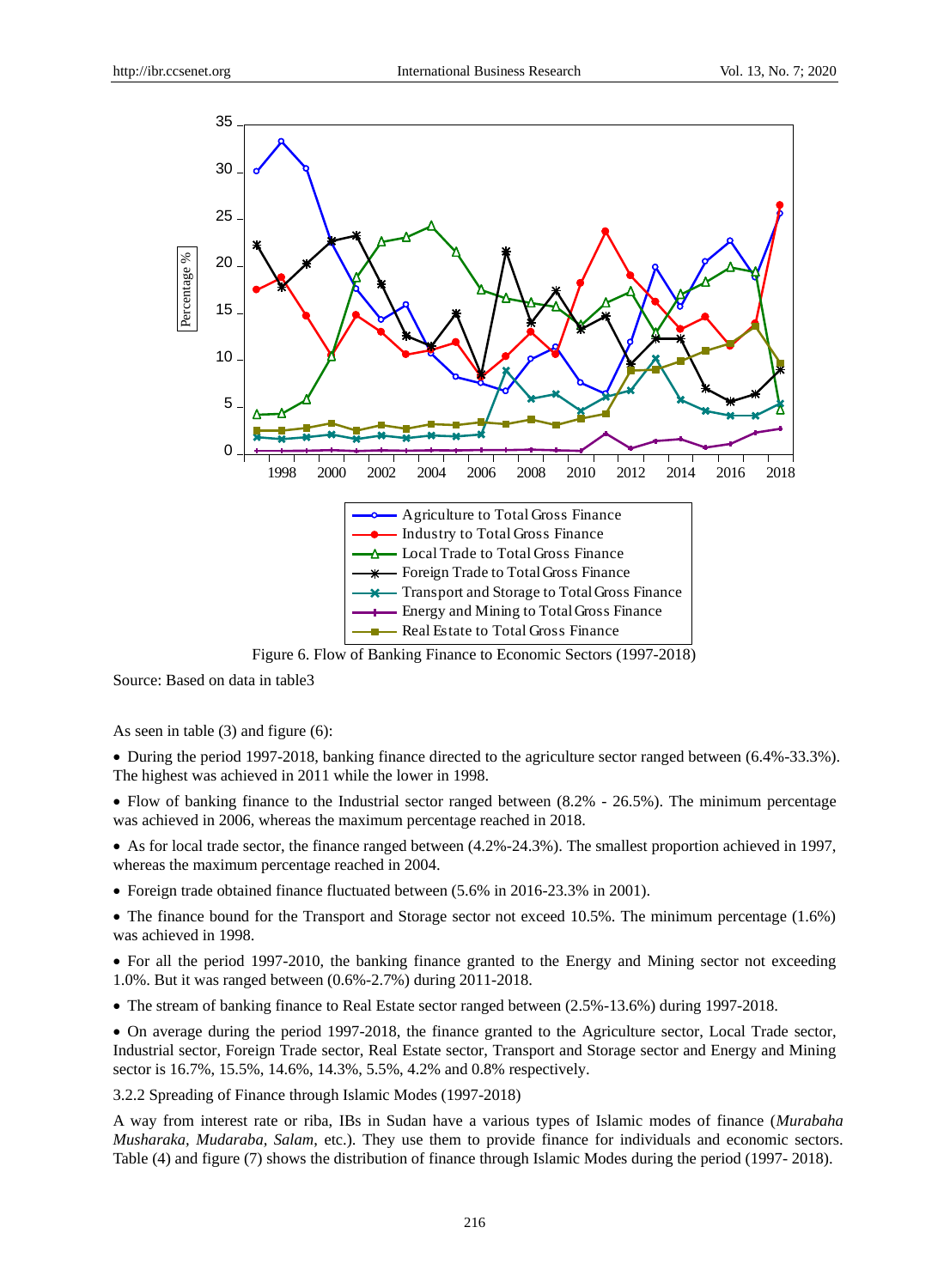

Figure 6. Flow of Banking Finance to Economic Sectors (1997-2018)

Source: Based on data in table3

As seen in table (3) and figure (6):

 During the period 1997-2018, banking finance directed to the agriculture sector ranged between (6.4%-33.3%). The highest was achieved in 2011 while the lower in 1998.

• Flow of banking finance to the Industrial sector ranged between (8.2% - 26.5%). The minimum percentage was achieved in 2006, whereas the maximum percentage reached in 2018.

 As for local trade sector, the finance ranged between (4.2%-24.3%). The smallest proportion achieved in 1997, whereas the maximum percentage reached in 2004.

• Foreign trade obtained finance fluctuated between (5.6% in 2016-23.3% in 2001).

• The finance bound for the Transport and Storage sector not exceed 10.5%. The minimum percentage (1.6%) was achieved in 1998.

• For all the period 1997-2010, the banking finance granted to the Energy and Mining sector not exceeding 1.0%. But it was ranged between (0.6%-2.7%) during 2011-2018.

• The stream of banking finance to Real Estate sector ranged between  $(2.5\% - 13.6\%)$  during 1997-2018.

 On average during the period 1997-2018, the finance granted to the Agriculture sector, Local Trade sector, Industrial sector, Foreign Trade sector, Real Estate sector, Transport and Storage sector and Energy and Mining sector is 16.7%, 15.5%, 14.6%, 14.3%, 5.5%, 4.2% and 0.8% respectively.

3.2.2 Spreading of Finance through Islamic Modes (1997-2018)

A way from interest rate or riba, IBs in Sudan have a various types of Islamic modes of finance (*Murabaha Musharaka, Mudaraba, Salam*, etc.). They use them to provide finance for individuals and economic sectors. Table (4) and figure (7) shows the distribution of finance through Islamic Modes during the period (1997- 2018).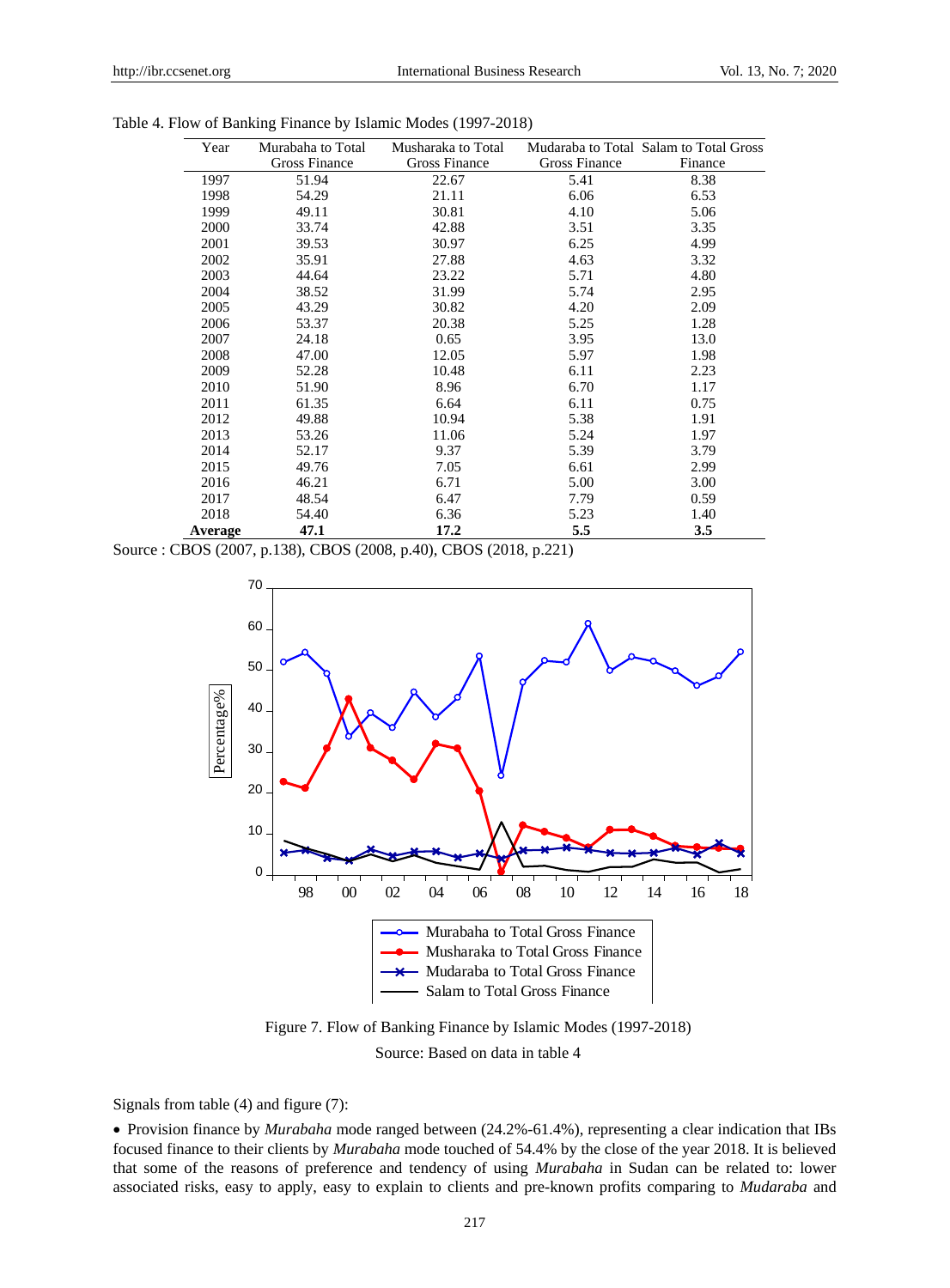| Year    | Murabaha to Total | Musharaka to Total |               | Mudaraba to Total Salam to Total Gross |
|---------|-------------------|--------------------|---------------|----------------------------------------|
|         | Gross Finance     | Gross Finance      | Gross Finance | Finance                                |
| 1997    | 51.94             | 22.67              | 5.41          | 8.38                                   |
| 1998    | 54.29             | 21.11              | 6.06          | 6.53                                   |
| 1999    | 49.11             | 30.81              | 4.10          | 5.06                                   |
| 2000    | 33.74             | 42.88              | 3.51          | 3.35                                   |
| 2001    | 39.53             | 30.97              | 6.25          | 4.99                                   |
| 2002    | 35.91             | 27.88              | 4.63          | 3.32                                   |
| 2003    | 44.64             | 23.22              | 5.71          | 4.80                                   |
| 2004    | 38.52             | 31.99              | 5.74          | 2.95                                   |
| 2005    | 43.29             | 30.82              | 4.20          | 2.09                                   |
| 2006    | 53.37             | 20.38              | 5.25          | 1.28                                   |
| 2007    | 24.18             | 0.65               | 3.95          | 13.0                                   |
| 2008    | 47.00             | 12.05              | 5.97          | 1.98                                   |
| 2009    | 52.28             | 10.48              | 6.11          | 2.23                                   |
| 2010    | 51.90             | 8.96               | 6.70          | 1.17                                   |
| 2011    | 61.35             | 6.64               | 6.11          | 0.75                                   |
| 2012    | 49.88             | 10.94              | 5.38          | 1.91                                   |
| 2013    | 53.26             | 11.06              | 5.24          | 1.97                                   |
| 2014    | 52.17             | 9.37               | 5.39          | 3.79                                   |
| 2015    | 49.76             | 7.05               | 6.61          | 2.99                                   |
| 2016    | 46.21             | 6.71               | 5.00          | 3.00                                   |
| 2017    | 48.54             | 6.47               | 7.79          | 0.59                                   |
| 2018    | 54.40             | 6.36               | 5.23          | 1.40                                   |
| Average | 47.1              | 17.2               | 5.5           | 3.5                                    |

|  |  |  | Table 4. Flow of Banking Finance by Islamic Modes (1997-2018) |
|--|--|--|---------------------------------------------------------------|
|--|--|--|---------------------------------------------------------------|

Source : CBOS (2007, p.138), CBOS (2008, p.40), CBOS (2018, p.221)



Figure 7. Flow of Banking Finance by Islamic Modes (1997-2018) Source: Based on data in table 4

Signals from table (4) and figure (7):

 Provision finance by *Murabaha* mode ranged between (24.2%-61.4%), representing a clear indication that IBs focused finance to their clients by *Murabaha* mode touched of 54.4% by the close of the year 2018. It is believed that some of the reasons of preference and tendency of using *Murabaha* in Sudan can be related to: lower associated risks, easy to apply, easy to explain to clients and pre-known profits comparing to *Mudaraba* and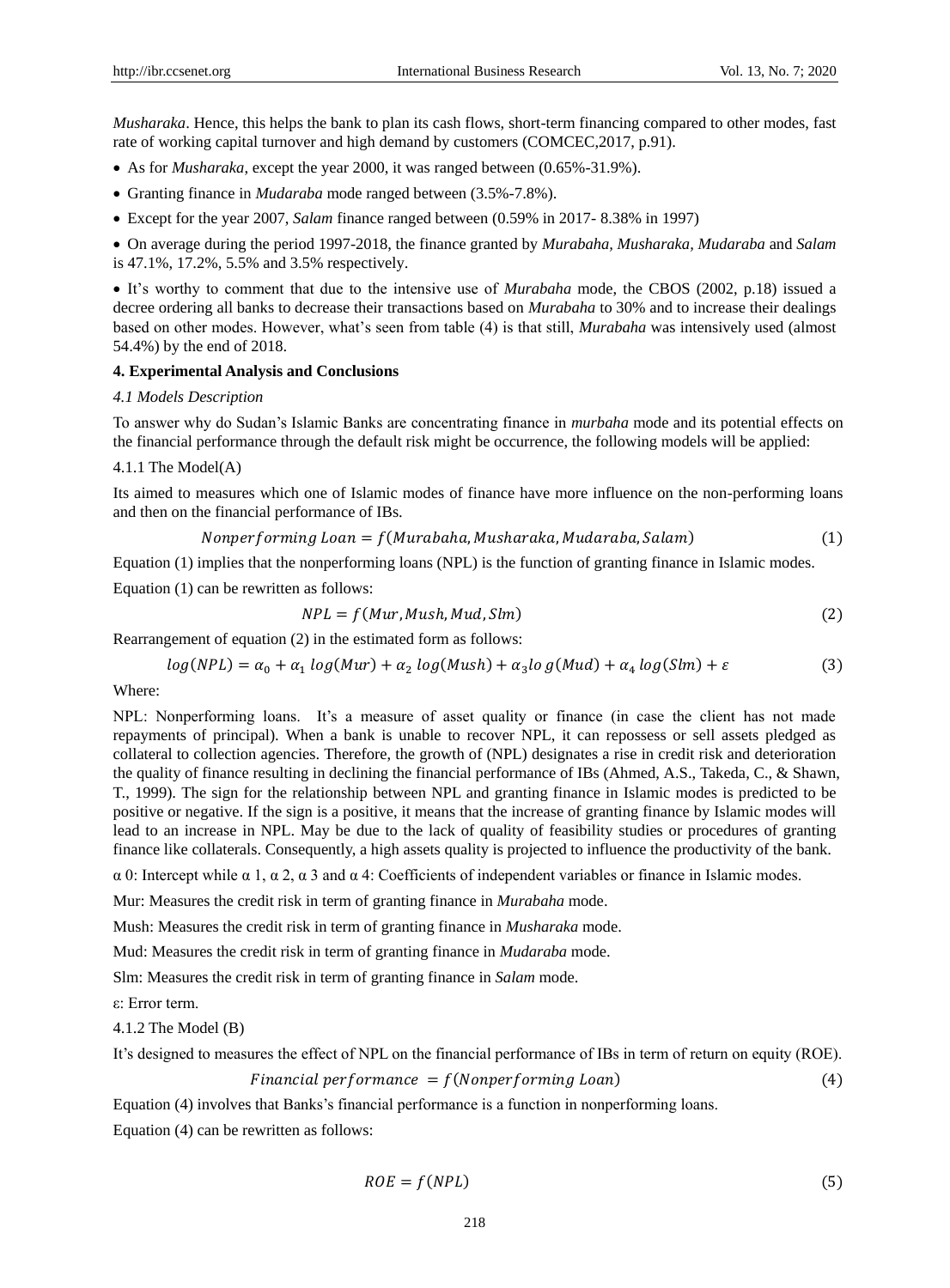*Musharaka*. Hence, this helps the bank to plan its cash flows, short-term financing compared to other modes, fast rate of working capital turnover and high demand by customers (COMCEC,2017, p.91).

- As for *Musharaka*, except the year 2000, it was ranged between (0.65%-31.9%).
- Granting finance in *Mudaraba* mode ranged between (3.5%-7.8%).
- Except for the year 2007, *Salam* finance ranged between (0.59% in 2017- 8.38% in 1997)

 On average during the period 1997-2018, the finance granted by *Murabaha, Musharaka, Mudaraba* and *Salam* is 47.1%, 17.2%, 5.5% and 3.5% respectively.

 It's worthy to comment that due to the intensive use of *Murabaha* mode, the CBOS (2002, p.18) issued a decree ordering all banks to decrease their transactions based on *Murabaha* to 30% and to increase their dealings based on other modes. However, what's seen from table (4) is that still, *Murabaha* was intensively used (almost 54.4%) by the end of 2018.

#### **4. Experimental Analysis and Conclusions**

#### *4.1 Models Description*

To answer why do Sudan's Islamic Banks are concentrating finance in *murbaha* mode and its potential effects on the financial performance through the default risk might be occurrence, the following models will be applied:

#### 4.1.1 The Model(A)

Its aimed to measures which one of Islamic modes of finance have more influence on the non-performing loans and then on the financial performance of IBs.

$$
Nonperforming\n Loan = f(Murabaha, Musharaka, Mudaraba, Salam)
$$
\n(1)

Equation (1) implies that the nonperforming loans (NPL) is the function of granting finance in Islamic modes.

Equation (1) can be rewritten as follows:

$$
NPL = f(Mur, Mush, Mud, Slm)
$$
\n<sup>(2)</sup>

Rearrangement of equation (2) in the estimated form as follows:

$$
log(NPL) = \alpha_0 + \alpha_1 log(Mur) + \alpha_2 log(Mush) + \alpha_3 log(Mud) + \alpha_4 log(Slm) + \varepsilon
$$
\n(3)

#### Where:

NPL: Nonperforming loans. It's a measure of asset quality or finance (in case the client has not made repayments of principal). When a bank is unable to recover NPL, it can repossess or sell assets pledged as collateral to collection agencies. Therefore, the growth of (NPL) designates a rise in credit risk and deterioration the quality of finance resulting in declining the financial performance of IBs (Ahmed, A.S., Takeda, C., & Shawn, T., 1999). The sign for the relationship between NPL and granting finance in Islamic modes is predicted to be positive or negative. If the sign is a positive, it means that the increase of granting finance by Islamic modes will lead to an increase in NPL. May be due to the lack of quality of feasibility studies or procedures of granting finance like collaterals. Consequently, a high assets quality is projected to influence the productivity of the bank.

α 0: Intercept while α 1, α 2, α 3 and α 4: Coefficients of independent variables or finance in Islamic modes.

Mur: Measures the credit risk in term of granting finance in *Murabaha* mode.

Mush: Measures the credit risk in term of granting finance in *Musharaka* mode.

Mud: Measures the credit risk in term of granting finance in *Mudaraba* mode.

Slm: Measures the credit risk in term of granting finance in *Salam* mode.

ε: Error term.

4.1.2 The Model (B)

It's designed to measures the effect of NPL on the financial performance of IBs in term of return on equity (ROE).

$$
Financial performance = f(Nonperforming\n Loan) \tag{4}
$$

Equation (4) involves that Banks's financial performance is a function in nonperforming loans.

Equation (4) can be rewritten as follows:

$$
ROE = f(NPL) \tag{5}
$$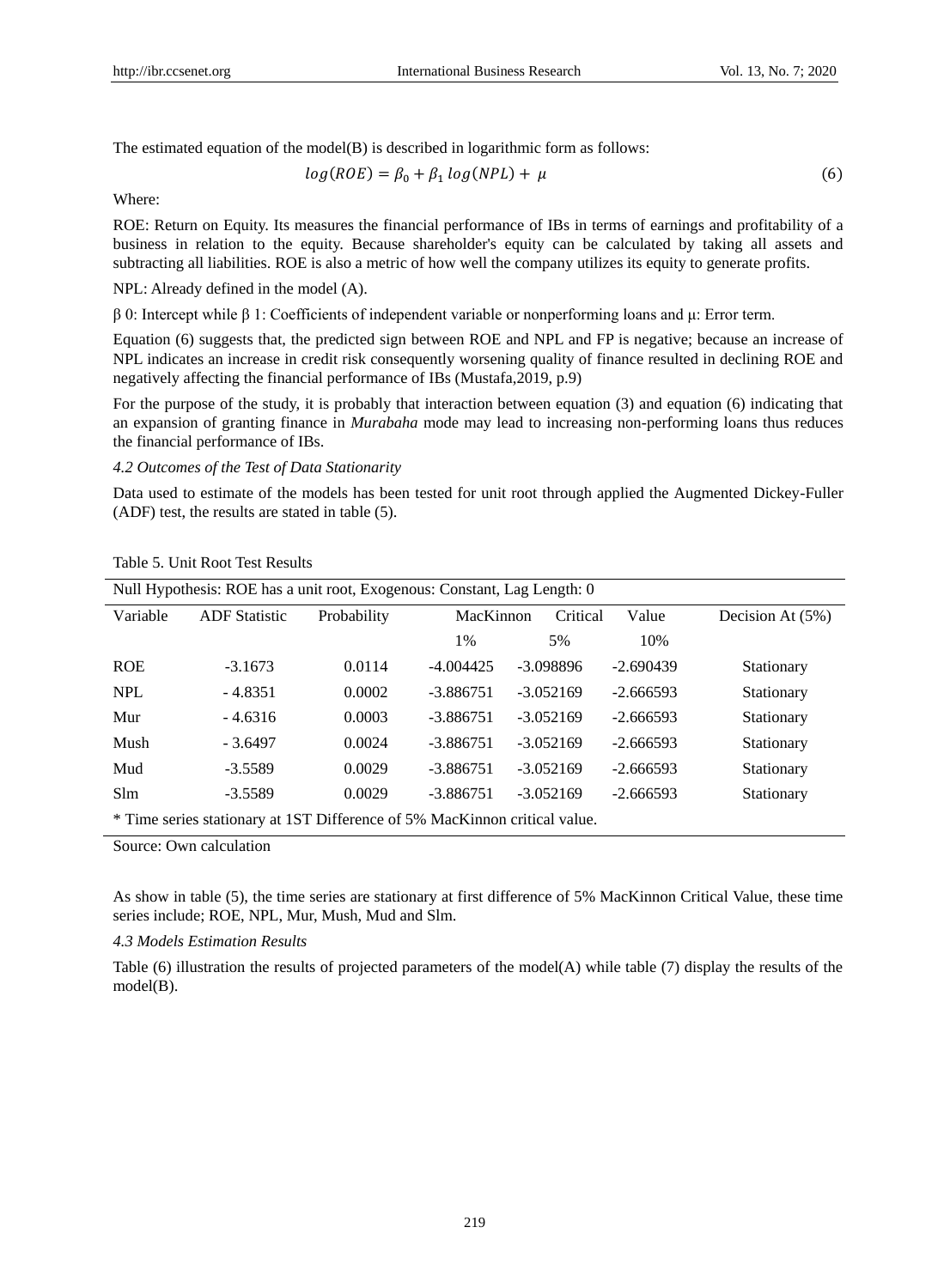The estimated equation of the model(B) is described in logarithmic form as follows:

$$
log(ROE) = \beta_0 + \beta_1 log(NPL) + \mu \tag{6}
$$

Where:

ROE: Return on Equity. Its measures the financial performance of IBs in terms of earnings and profitability of a business in relation to the equity. Because shareholder's equity can be calculated by taking all assets and subtracting all liabilities. ROE is also a metric of how well the company utilizes its equity to generate profits.

NPL: Already defined in the model (A).

β 0: Intercept while β 1: Coefficients of independent variable or nonperforming loans and μ: Error term.

Equation (6) suggests that, the predicted sign between ROE and NPL and FP is negative; because an increase of NPL indicates an increase in credit risk consequently worsening quality of finance resulted in declining ROE and negatively affecting the financial performance of IBs (Mustafa,2019, p.9)

For the purpose of the study, it is probably that interaction between equation (3) and equation (6) indicating that an expansion of granting finance in *Murabaha* mode may lead to increasing non-performing loans thus reduces the financial performance of IBs.

*4.2 Outcomes of the Test of Data Stationarity*

Data used to estimate of the models has been tested for unit root through applied the Augmented Dickey-Fuller (ADF) test, the results are stated in table (5).

| Null Hypothesis: ROE has a unit root, Exogenous: Constant, Lag Length: 0 |                                                                            |             |             |             |                  |            |  |
|--------------------------------------------------------------------------|----------------------------------------------------------------------------|-------------|-------------|-------------|------------------|------------|--|
| Variable                                                                 | <b>ADF</b> Statistic                                                       | Probability | MacKinnon   | Critical    | Decision At (5%) |            |  |
|                                                                          |                                                                            |             | $1\%$       | 5%          | 10%              |            |  |
| <b>ROE</b>                                                               | $-3.1673$                                                                  | 0.0114      | $-4.004425$ | $-3.098896$ | $-2.690439$      | Stationary |  |
| <b>NPL</b>                                                               | $-4.8351$                                                                  | 0.0002      | $-3.886751$ | $-3.052169$ | $-2.666593$      | Stationary |  |
| Mur                                                                      | $-4.6316$                                                                  | 0.0003      | $-3.886751$ | $-3.052169$ | $-2.666593$      | Stationary |  |
| Mush                                                                     | $-3.6497$                                                                  | 0.0024      | $-3.886751$ | $-3.052169$ | $-2.666593$      | Stationary |  |
| Mud                                                                      | $-3.5589$                                                                  | 0.0029      | $-3.886751$ | $-3.052169$ | $-2.666593$      | Stationary |  |
| <b>Slm</b>                                                               | $-3.5589$                                                                  | 0.0029      | $-3.886751$ | $-3.052169$ | $-2.666593$      | Stationary |  |
|                                                                          | * Time series stationary at 1ST Difference of 5% MacKinnon critical value. |             |             |             |                  |            |  |

Table 5. Unit Root Test Results

Source: Own calculation

As show in table (5), the time series are stationary at first difference of 5% MacKinnon Critical Value, these time series include; ROE, NPL, Mur, Mush, Mud and Slm.

*4.3 Models Estimation Results*

Table (6) illustration the results of projected parameters of the model(A) while table (7) display the results of the model(B).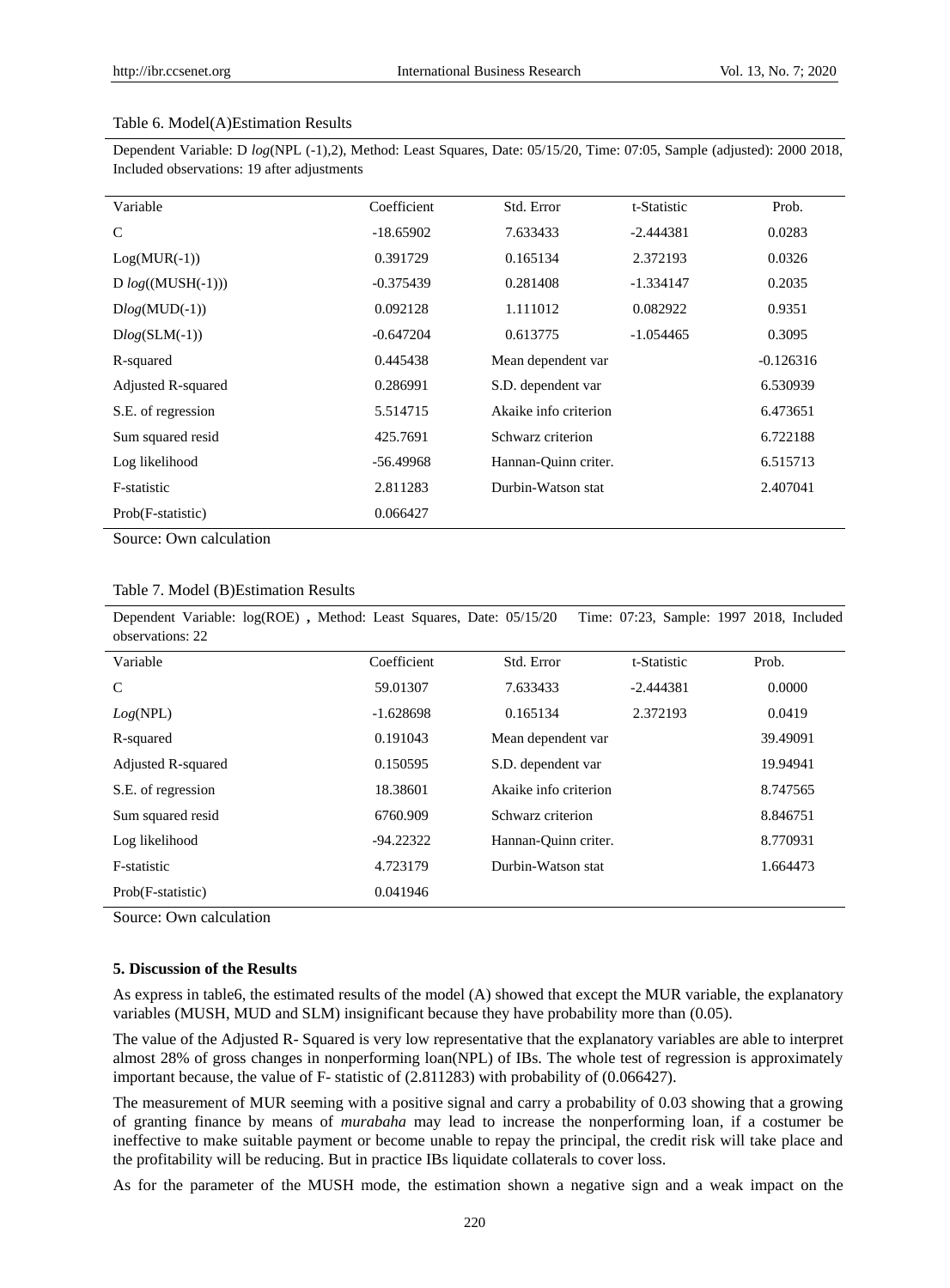#### Table 6. Model(A)Estimation Results

Dependent Variable: D *log*(NPL (-1),2), Method: Least Squares, Date: 05/15/20, Time: 07:05, Sample (adjusted): 2000 2018, Included observations: 19 after adjustments

| Variable            | Coefficient | Std. Error            | t-Statistic | Prob.       |
|---------------------|-------------|-----------------------|-------------|-------------|
| $\mathcal{C}$       | $-18.65902$ | 7.633433              | $-2.444381$ | 0.0283      |
| $Log(MUR(-1))$      | 0.391729    | 0.165134              | 2.372193    | 0.0326      |
| $D log((MUSH(-1)))$ | $-0.375439$ | 0.281408              | $-1.334147$ | 0.2035      |
| $Dlog(MUD(-1))$     | 0.092128    | 1.111012              | 0.082922    | 0.9351      |
| $Dlog(SLM(-1))$     | $-0.647204$ | 0.613775              | $-1.054465$ | 0.3095      |
| R-squared           | 0.445438    | Mean dependent var    |             | $-0.126316$ |
| Adjusted R-squared  | 0.286991    | S.D. dependent var    |             | 6.530939    |
| S.E. of regression  | 5.514715    | Akaike info criterion |             | 6.473651    |
| Sum squared resid   | 425.7691    | Schwarz criterion     |             | 6.722188    |
| Log likelihood      | $-56.49968$ | Hannan-Quinn criter.  |             | 6.515713    |
| F-statistic         | 2.811283    | Durbin-Watson stat    |             | 2.407041    |
| Prob(F-statistic)   | 0.066427    |                       |             |             |

Source: Own calculation

|  | Table 7. Model (B) Estimation Results |  |
|--|---------------------------------------|--|
|--|---------------------------------------|--|

Dependent Variable: log(ROE) **,** Method: Least Squares, Date: 05/15/20 Time: 07:23, Sample: 1997 2018, Included observations: 22

| $00301$ valiture. 22      |             |                       |             |          |
|---------------------------|-------------|-----------------------|-------------|----------|
| Variable                  | Coefficient | Std. Error            | t-Statistic | Prob.    |
| $\mathcal{C}$             | 59.01307    | 7.633433              | $-2.444381$ | 0.0000   |
| Log(NPL)                  | $-1.628698$ | 0.165134              | 2.372193    | 0.0419   |
| R-squared                 | 0.191043    | Mean dependent var    |             | 39.49091 |
| <b>Adjusted R-squared</b> | 0.150595    | S.D. dependent var    |             | 19.94941 |
| S.E. of regression        | 18.38601    | Akaike info criterion |             | 8.747565 |
| Sum squared resid         | 6760.909    | Schwarz criterion     |             | 8.846751 |
| Log likelihood            | $-94.22322$ | Hannan-Ouinn criter.  |             | 8.770931 |
| F-statistic               | 4.723179    | Durbin-Watson stat    |             | 1.664473 |
| Prob(F-statistic)         | 0.041946    |                       |             |          |

Source: Own calculation

#### **5. Discussion of the Results**

As express in table6, the estimated results of the model (A) showed that except the MUR variable, the explanatory variables (MUSH, MUD and SLM) insignificant because they have probability more than (0.05).

The value of the Adjusted R- Squared is very low representative that the explanatory variables are able to interpret almost 28% of gross changes in nonperforming loan(NPL) of IBs. The whole test of regression is approximately important because, the value of F- statistic of (2.811283) with probability of (0.066427).

The measurement of MUR seeming with a positive signal and carry a probability of 0.03 showing that a growing of granting finance by means of *murabaha* may lead to increase the nonperforming loan, if a costumer be ineffective to make suitable payment or become unable to repay the principal, the credit risk will take place and the profitability will be reducing. But in practice IBs liquidate collaterals to cover loss.

As for the parameter of the MUSH mode, the estimation shown a negative sign and a weak impact on the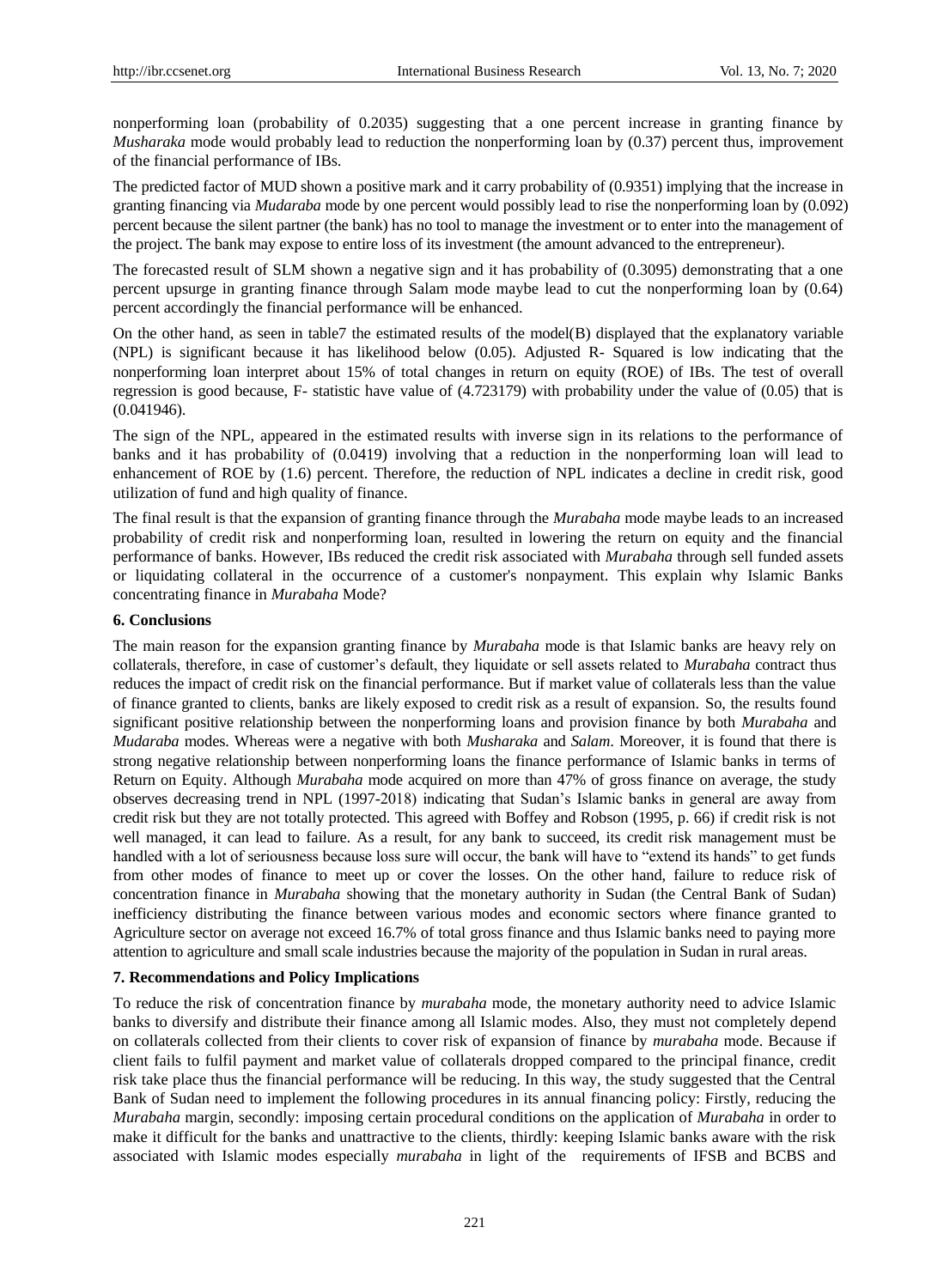nonperforming loan (probability of 0.2035) suggesting that a one percent increase in granting finance by *Musharaka* mode would probably lead to reduction the nonperforming loan by (0.37) percent thus, improvement of the financial performance of IBs.

The predicted factor of MUD shown a positive mark and it carry probability of (0.9351) implying that the increase in granting financing via *Mudaraba* mode by one percent would possibly lead to rise the nonperforming loan by (0.092) percent because the silent partner (the bank) has no tool to manage the investment or to enter into the management of the project. The bank may expose to entire loss of its investment (the amount advanced to the entrepreneur).

The forecasted result of SLM shown a negative sign and it has probability of (0.3095) demonstrating that a one percent upsurge in granting finance through Salam mode maybe lead to cut the nonperforming loan by (0.64) percent accordingly the financial performance will be enhanced.

On the other hand, as seen in table7 the estimated results of the model(B) displayed that the explanatory variable (NPL) is significant because it has likelihood below (0.05). Adjusted R- Squared is low indicating that the nonperforming loan interpret about 15% of total changes in return on equity (ROE) of IBs. The test of overall regression is good because, F- statistic have value of (4.723179) with probability under the value of (0.05) that is (0.041946).

The sign of the NPL, appeared in the estimated results with inverse sign in its relations to the performance of banks and it has probability of (0.0419) involving that a reduction in the nonperforming loan will lead to enhancement of ROE by (1.6) percent. Therefore, the reduction of NPL indicates a decline in credit risk, good utilization of fund and high quality of finance.

The final result is that the expansion of granting finance through the *Murabaha* mode maybe leads to an increased probability of credit risk and nonperforming loan, resulted in lowering the return on equity and the financial performance of banks. However, IBs reduced the credit risk associated with *Murabaha* through sell funded assets or liquidating collateral in the occurrence of a customer's nonpayment. This explain why Islamic Banks concentrating finance in *Murabaha* Mode?

## **6. Conclusions**

The main reason for the expansion granting finance by *Murabaha* mode is that Islamic banks are heavy rely on collaterals, therefore, in case of customer's default, they liquidate or sell assets related to *Murabaha* contract thus reduces the impact of credit risk on the financial performance. But if market value of collaterals less than the value of finance granted to clients, banks are likely exposed to credit risk as a result of expansion. So, the results found significant positive relationship between the nonperforming loans and provision finance by both *Murabaha* and *Mudaraba* modes. Whereas were a negative with both *Musharaka* and *Salam*. Moreover, it is found that there is strong negative relationship between nonperforming loans the finance performance of Islamic banks in terms of Return on Equity. Although *Murabaha* mode acquired on more than 47% of gross finance on average, the study observes decreasing trend in NPL (1997-2018) indicating that Sudan's Islamic banks in general are away from credit risk but they are not totally protected. This agreed with Boffey and Robson (1995, p. 66) if credit risk is not well managed, it can lead to failure. As a result, for any bank to succeed, its credit risk management must be handled with a lot of seriousness because loss sure will occur, the bank will have to "extend its hands" to get funds from other modes of finance to meet up or cover the losses. On the other hand, failure to reduce risk of concentration finance in *Murabaha* showing that the monetary authority in Sudan (the Central Bank of Sudan) inefficiency distributing the finance between various modes and economic sectors where finance granted to Agriculture sector on average not exceed 16.7% of total gross finance and thus Islamic banks need to paying more attention to agriculture and small scale industries because the majority of the population in Sudan in rural areas.

## **7. Recommendations and Policy Implications**

To reduce the risk of concentration finance by *murabaha* mode, the monetary authority need to advice Islamic banks to diversify and distribute their finance among all Islamic modes. Also, they must not completely depend on collaterals collected from their clients to cover risk of expansion of finance by *murabaha* mode. Because if client fails to fulfil payment and market value of collaterals dropped compared to the principal finance, credit risk take place thus the financial performance will be reducing. In this way, the study suggested that the Central Bank of Sudan need to implement the following procedures in its annual financing policy: Firstly, reducing the *Murabaha* margin, secondly: imposing certain procedural conditions on the application of *Murabaha* in order to make it difficult for the banks and unattractive to the clients, thirdly: keeping Islamic banks aware with the risk associated with Islamic modes especially *murabaha* in light of the requirements of IFSB and BCBS and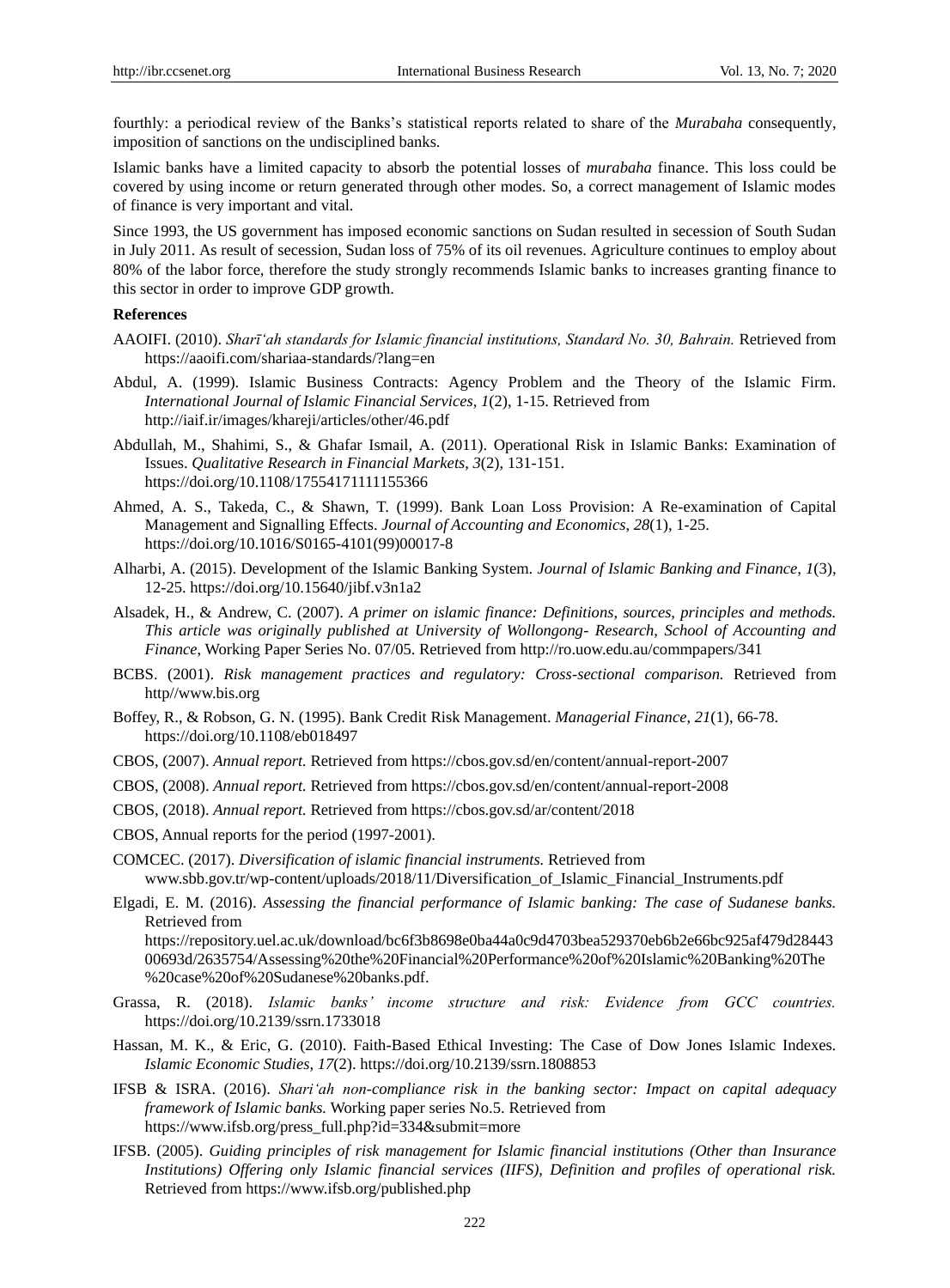fourthly: a periodical review of the Banks's statistical reports related to share of the *Murabaha* consequently, imposition of sanctions on the undisciplined banks.

Islamic banks have a limited capacity to absorb the potential losses of *murabaha* finance. This loss could be covered by using income or return generated through other modes. So, a correct management of Islamic modes of finance is very important and vital.

Since 1993, the US government has imposed economic sanctions on Sudan resulted in secession of South Sudan in July 2011. As result of secession, Sudan loss of 75% of its oil revenues. Agriculture continues to employ about 80% of the labor force, therefore the study strongly recommends Islamic banks to increases granting finance to this sector in order to improve GDP growth.

## **References**

- AAOIFI. (2010). *Sharīʻah standards for Islamic financial institutions, Standard No. 30, Bahrain.* Retrieved from <https://aaoifi.com/shariaa-standards/?lang=en>
- Abdul, A. (1999). Islamic Business Contracts: Agency Problem and the Theory of the Islamic Firm. *International Journal of Islamic Financial Services, 1*(2), 1-15. Retrieved from <http://iaif.ir/images/khareji/articles/other/46.pdf>
- Abdullah, M., Shahimi, S., & Ghafar Ismail, A. (2011). Operational Risk in Islamic Banks: Examination of Issues. *Qualitative Research in Financial Markets*, *3*(2), 131-151. <https://doi.org/10.1108/17554171111155366>
- Ahmed, A. S., Takeda, C., & Shawn, T. (1999). Bank Loan Loss Provision: A Re-examination of Capital Management and Signalling Effects. *Journal of Accounting and Economics*, *28*(1), 1-25. [https://doi.org/10.1016/S0165-4101\(99\)00017-8](https://doi.org/10.1016/S0165-4101(99)00017-8)
- Alharbi, A. (2015). Development of the Islamic Banking System. *Journal of Islamic Banking and Finance, 1*(3), 12-25. https://doi.org/10.15640/jibf.v3n1a2
- Alsadek, H., & Andrew, C. (2007). *A primer on islamic finance: Definitions, sources, principles and methods. This article was originally published at University of Wollongong- Research, School of Accounting and Finance*, Working Paper Series No. 07/05. Retrieved from<http://ro.uow.edu.au/commpapers/341>
- BCBS. (2001). *Risk management practices and regulatory: Cross-sectional comparison.* Retrieved from http/[/www.bis.org](http://www.bis.org/)
- Boffey, R., & Robson, G. N. (1995). Bank Credit Risk Management. *Managerial Finance*, *21*(1), 66-78. <https://doi.org/10.1108/eb018497>

CBOS, (2007). *Annual report.* Retrieved from https://cbos.gov.sd/en/content/annual-report-2007

- CBOS, (2008). *Annual report.* Retrieved from https://cbos.gov.sd/en/content/annual-report-2008
- CBOS, (2018). *Annual report.* Retrieved from https://cbos.gov.sd/ar/content/2018
- CBOS, Annual reports for the period (1997-2001).
- COMCEC. (2017). *Diversification of islamic financial instruments.* Retrieved from [www.sbb.gov.tr/wp-content/uploads/2018/11/Diversification\\_of\\_Islamic\\_Financial\\_Instruments.pdf](http://www.sbb.gov.tr/wp-content/uploads/2018/11/Diversification_of_Islamic_Financial_Instruments.pdf)
- Elgadi, E. M. (2016). *Assessing the financial performance of Islamic banking: The case of Sudanese banks.*  Retrieved from [https://repository.uel.ac.uk/download/bc6f3b8698e0ba44a0c9d4703bea529370eb6b2e66bc925af479d28443](https://repository.uel.ac.uk/download/bc6f3b8698e0ba44a0c9d4703bea529370eb6b2e66bc925af479d2844300693d/2635754/Assessing%20the%20Financial%20Performance%20of%20Islamic%20Banking%20The%20case%20of%20Sudanese%20banks.pdf) [00693d/2635754/Assessing%20the%20Financial%20Performance%20of%20Islamic%20Banking%20The](https://repository.uel.ac.uk/download/bc6f3b8698e0ba44a0c9d4703bea529370eb6b2e66bc925af479d2844300693d/2635754/Assessing%20the%20Financial%20Performance%20of%20Islamic%20Banking%20The%20case%20of%20Sudanese%20banks.pdf) [%20case%20of%20Sudanese%20banks.pdf.](https://repository.uel.ac.uk/download/bc6f3b8698e0ba44a0c9d4703bea529370eb6b2e66bc925af479d2844300693d/2635754/Assessing%20the%20Financial%20Performance%20of%20Islamic%20Banking%20The%20case%20of%20Sudanese%20banks.pdf)
- Grassa, R. (2018). *Islamic banks' income structure and risk: Evidence from GCC countries.* <https://doi.org/10.2139/ssrn.1733018>
- Hassan, M. K., & Eric, G. (2010). Faith-Based Ethical Investing: The Case of Dow Jones Islamic Indexes*. Islamic Economic Studies*, *17*(2). https://doi.org/10.2139/ssrn.1808853
- IFSB & ISRA. (2016). *Shariʻah non-compliance risk in the banking sector: Impact on capital adequacy framework of Islamic banks.* Working paper series No.5. Retrieved from [https://www.ifsb.org/press\\_full.php?id=334&submit=more](https://www.ifsb.org/press_full.php?id=334&submit=more)
- IFSB. (2005). *Guiding principles of risk management for Islamic financial institutions (Other than Insurance Institutions) Offering only Islamic financial services (IIFS), Definition and profiles of operational risk.*  Retrieved from<https://www.ifsb.org/published.php>